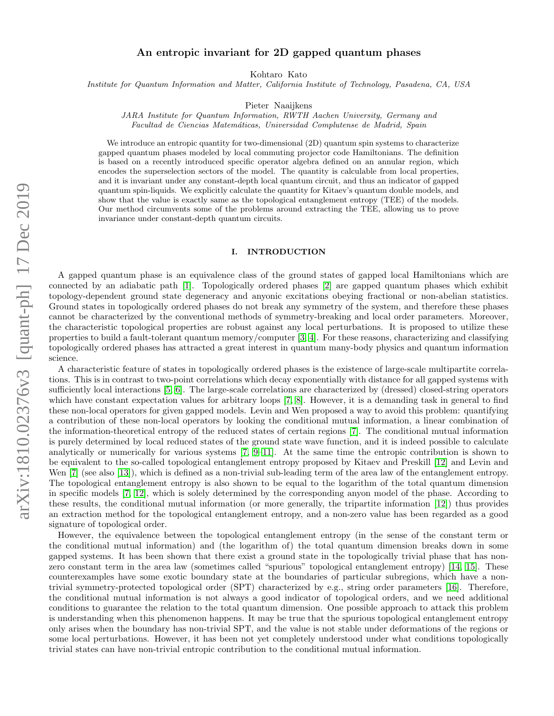# An entropic invariant for 2D gapped quantum phases

Kohtaro Kato

Institute for Quantum Information and Matter, California Institute of Technology, Pasadena, CA, USA

Pieter Naaijkens

JARA Institute for Quantum Information, RWTH Aachen University, Germany and Facultad de Ciencias Matemáticas, Universidad Complutense de Madrid, Spain

We introduce an entropic quantity for two-dimensional (2D) quantum spin systems to characterize gapped quantum phases modeled by local commuting projector code Hamiltonians. The definition is based on a recently introduced specific operator algebra defined on an annular region, which encodes the superselection sectors of the model. The quantity is calculable from local properties, and it is invariant under any constant-depth local quantum circuit, and thus an indicator of gapped quantum spin-liquids. We explicitly calculate the quantity for Kitaev's quantum double models, and show that the value is exactly same as the topological entanglement entropy (TEE) of the models. Our method circumvents some of the problems around extracting the TEE, allowing us to prove invariance under constant-depth quantum circuits.

### I. INTRODUCTION

A gapped quantum phase is an equivalence class of the ground states of gapped local Hamiltonians which are connected by an adiabatic path [\[1\]](#page-24-0). Topologically ordered phases [\[2\]](#page-24-1) are gapped quantum phases which exhibit topology-dependent ground state degeneracy and anyonic excitations obeying fractional or non-abelian statistics. Ground states in topologically ordered phases do not break any symmetry of the system, and therefore these phases cannot be characterized by the conventional methods of symmetry-breaking and local order parameters. Moreover, the characteristic topological properties are robust against any local perturbations. It is proposed to utilize these properties to build a fault-tolerant quantum memory/computer [\[3,](#page-24-2) [4\]](#page-25-0). For these reasons, characterizing and classifying topologically ordered phases has attracted a great interest in quantum many-body physics and quantum information science.

A characteristic feature of states in topologically ordered phases is the existence of large-scale multipartite correlations. This is in contrast to two-point correlations which decay exponentially with distance for all gapped systems with sufficiently local interactions [\[5,](#page-25-1) [6\]](#page-25-2). The large-scale correlations are characterized by (dressed) closed-string operators which have constant expectation values for arbitrary loops [\[7,](#page-25-3) [8\]](#page-25-4). However, it is a demanding task in general to find these non-local operators for given gapped models. Levin and Wen proposed a way to avoid this problem: quantifying a contribution of these non-local operators by looking the conditional mutual information, a linear combination of the information-theoretical entropy of the reduced states of certain regions [\[7\]](#page-25-3). The conditional mutual information is purely determined by local reduced states of the ground state wave function, and it is indeed possible to calculate analytically or numerically for various systems [\[7,](#page-25-3) [9](#page-25-5)[–11\]](#page-25-6). At the same time the entropic contribution is shown to be equivalent to the so-called topological entanglement entropy proposed by Kitaev and Preskill [\[12\]](#page-25-7) and Levin and Wen [\[7\]](#page-25-3) (see also [\[13\]](#page-25-8)), which is defined as a non-trivial sub-leading term of the area law of the entanglement entropy. The topological entanglement entropy is also shown to be equal to the logarithm of the total quantum dimension in specific models [\[7,](#page-25-3) [12\]](#page-25-7), which is solely determined by the corresponding anyon model of the phase. According to these results, the conditional mutual information (or more generally, the tripartite information [\[12\]](#page-25-7)) thus provides an extraction method for the topological entanglement entropy, and a non-zero value has been regarded as a good signature of topological order.

However, the equivalence between the topological entanglement entropy (in the sense of the constant term or the conditional mutual information) and (the logarithm of) the total quantum dimension breaks down in some gapped systems. It has been shown that there exist a ground state in the topologically trivial phase that has nonzero constant term in the area law (sometimes called "spurious" topological entanglement entropy) [\[14,](#page-25-9) [15\]](#page-25-10). These counterexamples have some exotic boundary state at the boundaries of particular subregions, which have a nontrivial symmetry-protected topological order (SPT) characterized by e.g., string order parameters [\[16\]](#page-25-11). Therefore, the conditional mutual information is not always a good indicator of topological orders, and we need additional conditions to guarantee the relation to the total quantum dimension. One possible approach to attack this problem is understanding when this phenomenon happens. It may be true that the spurious topological entanglement entropy only arises when the boundary has non-trivial SPT, and the value is not stable under deformations of the regions or some local perturbations. However, it has been not yet completely understood under what conditions topologically trivial states can have non-trivial entropic contribution to the conditional mutual information.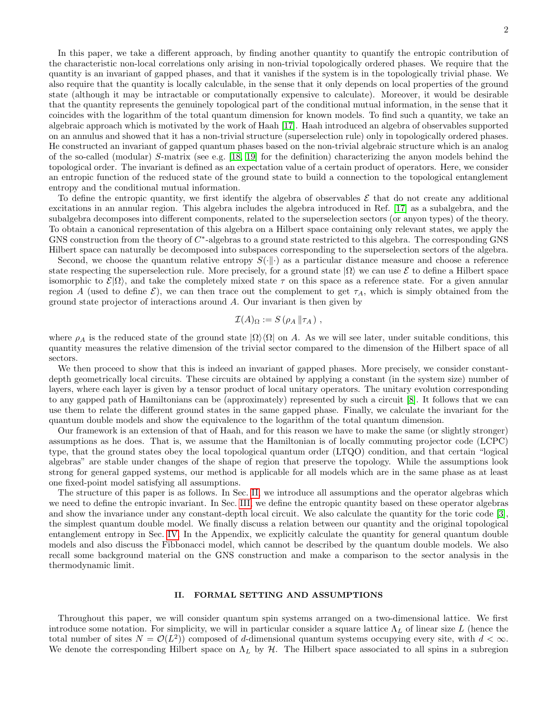In this paper, we take a different approach, by finding another quantity to quantify the entropic contribution of the characteristic non-local correlations only arising in non-trivial topologically ordered phases. We require that the quantity is an invariant of gapped phases, and that it vanishes if the system is in the topologically trivial phase. We also require that the quantity is locally calculable, in the sense that it only depends on local properties of the ground state (although it may be intractable or computationally expensive to calculate). Moreover, it would be desirable that the quantity represents the genuinely topological part of the conditional mutual information, in the sense that it coincides with the logarithm of the total quantum dimension for known models. To find such a quantity, we take an algebraic approach which is motivated by the work of Haah [\[17\]](#page-25-12). Haah introduced an algebra of observables supported on an annulus and showed that it has a non-trivial structure (superselection rule) only in topologically ordered phases. He constructed an invariant of gapped quantum phases based on the non-trivial algebraic structure which is an analog of the so-called (modular) S-matrix (see e.g. [\[18,](#page-25-13) [19\]](#page-25-14) for the definition) characterizing the anyon models behind the topological order. The invariant is defined as an expectation value of a certain product of operators. Here, we consider an entropic function of the reduced state of the ground state to build a connection to the topological entanglement entropy and the conditional mutual information.

To define the entropic quantity, we first identify the algebra of observables  $\mathcal E$  that do not create any additional excitations in an annular region. This algebra includes the algebra introduced in Ref. [\[17\]](#page-25-12) as a subalgebra, and the subalgebra decomposes into different components, related to the superselection sectors (or anyon types) of the theory. To obtain a canonical representation of this algebra on a Hilbert space containing only relevant states, we apply the GNS construction from the theory of  $C^*$ -algebras to a ground state restricted to this algebra. The corresponding GNS Hilbert space can naturally be decomposed into subspaces corresponding to the superselection sectors of the algebra.

Second, we choose the quantum relative entropy  $S(\cdot|\cdot)$  as a particular distance measure and choose a reference state respecting the superselection rule. More precisely, for a ground state  $|\Omega\rangle$  we can use  $\mathcal E$  to define a Hilbert space isomorphic to  $\mathcal{E}|\Omega\rangle$ , and take the completely mixed state  $\tau$  on this space as a reference state. For a given annular region A (used to define  $\mathcal{E}$ ), we can then trace out the complement to get  $\tau_A$ , which is simply obtained from the ground state projector of interactions around A. Our invariant is then given by

$$
\mathcal{I}(A)_{\Omega} := S\left(\rho_A \|\tau_A\right) \,,
$$

where  $\rho_A$  is the reduced state of the ground state  $|\Omega\rangle\langle\Omega|$  on A. As we will see later, under suitable conditions, this quantity measures the relative dimension of the trivial sector compared to the dimension of the Hilbert space of all sectors.

We then proceed to show that this is indeed an invariant of gapped phases. More precisely, we consider constantdepth geometrically local circuits. These circuits are obtained by applying a constant (in the system size) number of layers, where each layer is given by a tensor product of local unitary operators. The unitary evolution corresponding to any gapped path of Hamiltonians can be (approximately) represented by such a circuit [\[8\]](#page-25-4). It follows that we can use them to relate the different ground states in the same gapped phase. Finally, we calculate the invariant for the quantum double models and show the equivalence to the logarithm of the total quantum dimension.

Our framework is an extension of that of Haah, and for this reason we have to make the same (or slightly stronger) assumptions as he does. That is, we assume that the Hamiltonian is of locally commuting projector code (LCPC) type, that the ground states obey the local topological quantum order (LTQO) condition, and that certain "logical algebras" are stable under changes of the shape of region that preserve the topology. While the assumptions look strong for general gapped systems, our method is applicable for all models which are in the same phase as at least one fixed-point model satisfying all assumptions.

The structure of this paper is as follows. In Sec. [II,](#page-1-0) we introduce all assumptions and the operator algebras which we need to define the entropic invariant. In Sec. [III,](#page-7-0) we define the entropic quantity based on these operator algebras and show the invariance under any constant-depth local circuit. We also calculate the quantity for the toric code [\[3\]](#page-24-2), the simplest quantum double model. We finally discuss a relation between our quantity and the original topological entanglement entropy in Sec. [IV.](#page-12-0) In the Appendix, we explicitly calculate the quantity for general quantum double models and also discuss the Fibbonacci model, which cannot be described by the quantum double models. We also recall some background material on the GNS construction and make a comparison to the sector analysis in the thermodynamic limit.

### <span id="page-1-0"></span>II. FORMAL SETTING AND ASSUMPTIONS

Throughout this paper, we will consider quantum spin systems arranged on a two-dimensional lattice. We first introduce some notation. For simplicity, we will in particular consider a square lattice  $\Lambda_L$  of linear size L (hence the total number of sites  $N = \mathcal{O}(L^2)$  composed of d-dimensional quantum systems occupying every site, with  $d < \infty$ . We denote the corresponding Hilbert space on  $\Lambda_L$  by H. The Hilbert space associated to all spins in a subregion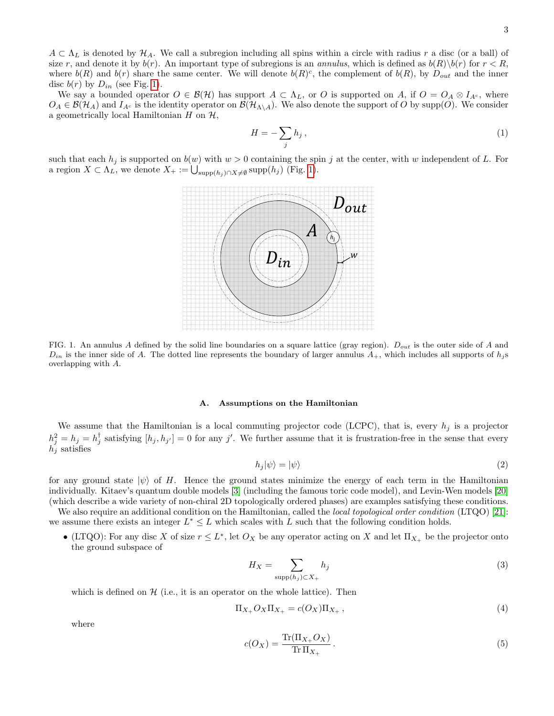disc  $b(r)$  by  $D_{in}$  (see Fig. [1\)](#page-2-0). We say a bounded operator  $O \in \mathcal{B}(\mathcal{H})$  has support  $A \subset \Lambda_L$ , or O is supported on A, if  $O = O_A \otimes I_{A^c}$ , where  $O_A \in \mathcal{B}(\mathcal{H}_A)$  and  $I_{A^c}$  is the identity operator on  $\mathcal{B}(\mathcal{H}_{A\setminus A})$ . We also denote the support of O by supp(O). We consider a geometrically local Hamiltonian  $H$  on  $H$ ,

where  $b(R)$  and  $b(r)$  share the same center. We will denote  $b(R)^c$ , the complement of  $b(R)$ , by  $D_{out}$  and the inner

$$
H = -\sum_{j} h_j \,, \tag{1}
$$

such that each  $h_j$  is supported on  $b(w)$  with  $w > 0$  containing the spin j at the center, with w independent of L. For a region  $X \subset \Lambda_L$ , we denote  $X_+ := \bigcup_{\text{supp}(h_j) \cap X \neq \emptyset} \text{supp}(h_j)$  (Fig. [1\)](#page-2-0).



<span id="page-2-0"></span>FIG. 1. An annulus A defined by the solid line boundaries on a square lattice (gray region).  $D_{out}$  is the outer side of A and  $D_{in}$  is the inner side of A. The dotted line represents the boundary of larger annulus  $A_+$ , which includes all supports of  $h_j$ s overlapping with A.

# A. Assumptions on the Hamiltonian

We assume that the Hamiltonian is a local commuting projector code (LCPC), that is, every  $h_j$  is a projector  $h_j^2 = h_j = h_j^{\dagger}$  satisfying  $[h_j, h_{j'}] = 0$  for any j'. We further assume that it is frustration-free in the sense that every  $h_i$  satisfies

$$
h_j|\psi\rangle = |\psi\rangle \tag{2}
$$

for any ground state  $|\psi\rangle$  of H. Hence the ground states minimize the energy of each term in the Hamiltonian individually. Kitaev's quantum double models [\[3\]](#page-24-2) (including the famous toric code model), and Levin-Wen models [\[20\]](#page-25-15) (which describe a wide variety of non-chiral 2D topologically ordered phases) are examples satisfying these conditions.

We also require an additional condition on the Hamiltonian, called the *local topological order condition* (LTQO) [\[21\]](#page-25-16): we assume there exists an integer  $L^* \leq L$  which scales with L such that the following condition holds.

• (LTQO): For any disc X of size  $r \leq L^*$ , let  $O_X$  be any operator acting on X and let  $\Pi_{X_+}$  be the projector onto the ground subspace of

<span id="page-2-1"></span>
$$
H_X = \sum_{\text{supp}(h_j) \subset X_+} h_j \tag{3}
$$

which is defined on  $H$  (i.e., it is an operator on the whole lattice). Then

$$
\Pi_{X_+} O_X \Pi_{X_+} = c(O_X) \Pi_{X_+}, \tag{4}
$$

where

$$
c(O_X) = \frac{\text{Tr}(\Pi_{X_+} O_X)}{\text{Tr} \Pi_{X_+}}.
$$
\n<sup>(5)</sup>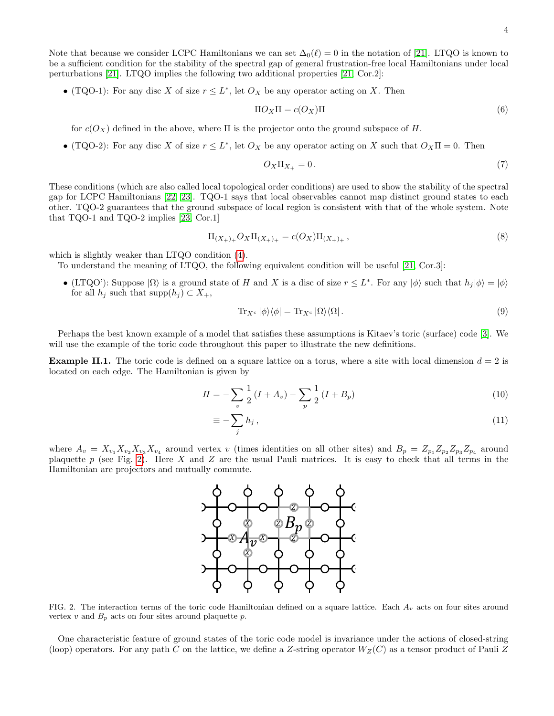Note that because we consider LCPC Hamiltonians we can set  $\Delta_0(\ell) = 0$  in the notation of [\[21\]](#page-25-16). LTQO is known to be a sufficient condition for the stability of the spectral gap of general frustration-free local Hamiltonians under local perturbations [\[21\]](#page-25-16). LTQO implies the following two additional properties [\[21,](#page-25-16) Cor.2]:

• (TQO-1): For any disc X of size  $r \leq L^*$ , let  $O_X$  be any operator acting on X. Then

$$
\Pi O_X \Pi = c(O_X) \Pi \tag{6}
$$

for  $c(O_X)$  defined in the above, where  $\Pi$  is the projector onto the ground subspace of H.

• (TQO-2): For any disc X of size  $r \leq L^*$ , let  $O_X$  be any operator acting on X such that  $O_X \Pi = 0$ . Then

$$
O_X \Pi_{X_+} = 0. \tag{7}
$$

These conditions (which are also called local topological order conditions) are used to show the stability of the spectral gap for LCPC Hamiltonians [\[22,](#page-25-17) [23\]](#page-25-18). TQO-1 says that local observables cannot map distinct ground states to each other. TQO-2 guarantees that the ground subspace of local region is consistent with that of the whole system. Note that TQO-1 and TQO-2 implies [\[23,](#page-25-18) Cor.1]

$$
\Pi_{(X_+)_+} O_X \Pi_{(X_+)_+} = c(O_X) \Pi_{(X_+)_+} \,, \tag{8}
$$

which is slightly weaker than LTQO condition [\(4\)](#page-2-1).

To understand the meaning of LTQO, the following equivalent condition will be useful [\[21,](#page-25-16) Cor.3]:

• (LTQO'): Suppose  $|\Omega\rangle$  is a ground state of H and X is a disc of size  $r \leq L^*$ . For any  $|\phi\rangle$  such that  $h_j|\phi\rangle = |\phi\rangle$ for all  $h_j$  such that supp $(h_j) \subset X_+$ ,

<span id="page-3-1"></span>
$$
\operatorname{Tr}_{X^c} |\phi\rangle\langle\phi| = \operatorname{Tr}_{X^c} |\Omega\rangle\langle\Omega|.
$$
\n(9)

Perhaps the best known example of a model that satisfies these assumptions is Kitaev's toric (surface) code [\[3\]](#page-24-2). We will use the example of the toric code throughout this paper to illustrate the new definitions.

**Example II.1.** The toric code is defined on a square lattice on a torus, where a site with local dimension  $d = 2$  is located on each edge. The Hamiltonian is given by

$$
H = -\sum_{v} \frac{1}{2} \left( I + A_v \right) - \sum_{p} \frac{1}{2} \left( I + B_p \right) \tag{10}
$$

$$
\equiv -\sum_{j} h_j \,, \tag{11}
$$

where  $A_v = X_{v_1} X_{v_2} X_{v_3} X_{v_4}$  around vertex v (times identities on all other sites) and  $B_p = Z_{p_1} Z_{p_2} Z_{p_3} Z_{p_4}$  around plaquette  $p$  (see Fig. [2\)](#page-3-0). Here  $X$  and  $Z$  are the usual Pauli matrices. It is easy to check that all terms in the Hamiltonian are projectors and mutually commute.



<span id="page-3-0"></span>FIG. 2. The interaction terms of the toric code Hamiltonian defined on a square lattice. Each  $A_v$  acts on four sites around vertex  $v$  and  $B_p$  acts on four sites around plaquette  $p$ .

One characteristic feature of ground states of the toric code model is invariance under the actions of closed-string (loop) operators. For any path C on the lattice, we define a Z-string operator  $W_Z(C)$  as a tensor product of Pauli Z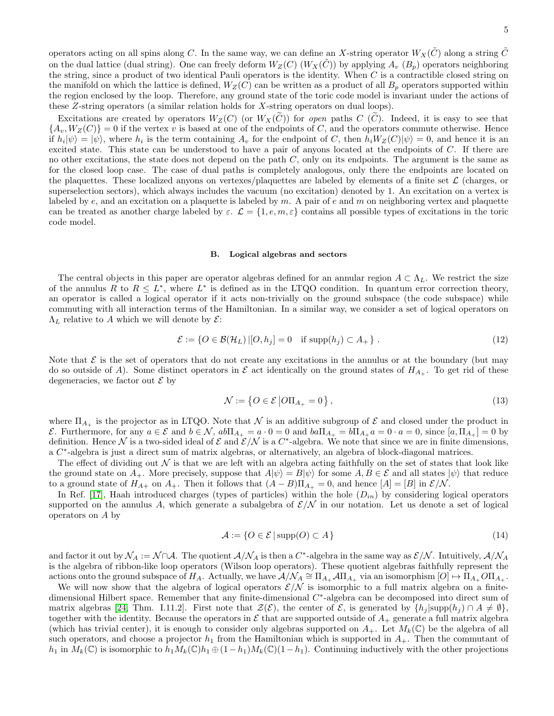operators acting on all spins along C. In the same way, we can define an X-string operator  $W_X(\tilde{C})$  along a string  $\tilde{C}$ on the dual lattice (dual string). One can freely deform  $W_Z(C)$   $(W_X(C))$  by applying  $A_v(B_p)$  operators neighboring the string, since a product of two identical Pauli operators is the identity. When  $C$  is a contractible closed string on the manifold on which the lattice is defined,  $W_Z(C)$  can be written as a product of all  $B_p$  operators supported within the region enclosed by the loop. Therefore, any ground state of the toric code model is invariant under the actions of these Z-string operators (a similar relation holds for X-string operators on dual loops).

Excitations are created by operators  $W_Z(C)$  (or  $W_X(C)$ ) for open paths C (C). Indeed, it is easy to see that  ${A_v, W_Z(C)} = 0$  if the vertex v is based at one of the endpoints of C, and the operators commute otherwise. Hence if  $h_i|\psi\rangle = |\psi\rangle$ , where  $h_i$  is the term containing  $A_v$  for the endpoint of C, then  $h_iW_Z(C)|\psi\rangle = 0$ , and hence it is an excited state. This state can be understood to have a pair of anyons located at the endpoints of  $C$ . If there are no other excitations, the state does not depend on the path  $C$ , only on its endpoints. The argument is the same as for the closed loop case. The case of dual paths is completely analogous, only there the endpoints are located on the plaquettes. These localized anyons on vertexes/plaquettes are labeled by elements of a finite set  $\mathcal L$  (charges, or superselection sectors), which always includes the vacuum (no excitation) denoted by 1. An excitation on a vertex is labeled by  $e$ , and an excitation on a plaquette is labeled by  $m$ . A pair of  $e$  and  $m$  on neighboring vertex and plaquette can be treated as another charge labeled by  $\varepsilon$ .  $\mathcal{L} = \{1, e, m, \varepsilon\}$  contains all possible types of excitations in the toric code model.

#### <span id="page-4-1"></span>B. Logical algebras and sectors

The central objects in this paper are operator algebras defined for an annular region  $A \subset \Lambda_L$ . We restrict the size of the annulus R to  $R \leq L^*$ , where  $L^*$  is defined as in the LTQO condition. In quantum error correction theory, an operator is called a logical operator if it acts non-trivially on the ground subspace (the code subspace) while commuting with all interaction terms of the Hamiltonian. In a similar way, we consider a set of logical operators on  $\Lambda_L$  relative to A which we will denote by  $\mathcal{E}$ :

<span id="page-4-0"></span>
$$
\mathcal{E} := \{ O \in \mathcal{B}(\mathcal{H}_L) \, | [O, h_j] = 0 \quad \text{if } \text{supp}(h_j) \subset A_+ \} \,. \tag{12}
$$

Note that  $\mathcal E$  is the set of operators that do not create any excitations in the annulus or at the boundary (but may do so outside of A). Some distinct operators in  $\mathcal E$  act identically on the ground states of  $H_{A_+}$ . To get rid of these degeneracies, we factor out  $\mathcal E$  by

$$
\mathcal{N} := \left\{ O \in \mathcal{E} \left| O \Pi_{A_+} = 0 \right. \right\},\tag{13}
$$

where  $\Pi_{A_+}$  is the projector as in LTQO. Note that N is an additive subgroup of E and closed under the product in E. Furthermore, for any  $a \in \mathcal{E}$  and  $b \in \mathcal{N}$ ,  $ab\Pi_{A_+} = a \cdot 0 = 0$  and  $ba\Pi_{A_+} = b\Pi_{A_+}a = 0 \cdot a = 0$ , since  $[a,\Pi_{A_+}] = 0$  by definition. Hence N is a two-sided ideal of  $\mathcal E$  and  $\mathcal E/\mathcal N$  is a  $C^*$ -algebra. We note that since we are in finite dimensions, a C<sup>\*</sup>-algebra is just a direct sum of matrix algebras, or alternatively, an algebra of block-diagonal matrices.

The effect of dividing out  $\mathcal N$  is that we are left with an algebra acting faithfully on the set of states that look like the ground state on  $A_+$ . More precisely, suppose that  $A|\psi\rangle = B|\psi\rangle$  for some  $A, B \in \mathcal{E}$  and all states  $|\psi\rangle$  that reduce to a ground state of  $H_{A+}$  on  $A_+$ . Then it follows that  $(A - B)\Pi_{A+} = 0$ , and hence  $[A] = [B]$  in  $\mathcal{E}/\mathcal{N}$ .

In Ref. [\[17\]](#page-25-12), Haah introduced charges (types of particles) within the hole  $(D_{in})$  by considering logical operators supported on the annulus A, which generate a subalgebra of  $\mathcal{E}/\mathcal{N}$  in our notation. Let us denote a set of logical operators on A by

$$
\mathcal{A} := \{ O \in \mathcal{E} \mid \text{supp}(O) \subset A \}
$$
\n<sup>(14)</sup>

and factor it out by  $\mathcal{N}_A := \mathcal{N} \cap \mathcal{A}$ . The quotient  $\mathcal{A}/\mathcal{N}_A$  is then a  $C^*$ -algebra in the same way as  $\mathcal{E}/\mathcal{N}$ . Intuitively,  $\mathcal{A}/\mathcal{N}_A$ is the algebra of ribbon-like loop operators (Wilson loop operators). These quotient algebras faithfully represent the actions onto the ground subspace of  $H_A$ . Actually, we have  $A/\mathcal{N}_A \cong \Pi_{A_+} A \Pi_{A_+}$  via an isomorphism  $[O] \mapsto \Pi_{A_+} O \Pi_{A_+}$ .

We will now show that the algebra of logical operators  $\mathcal{E}/\mathcal{N}$  is isomorphic to a full matrix algebra on a finitedimensional Hilbert space. Remember that any finite-dimensional C<sup>\*</sup>-algebra can be decomposed into direct sum of matrix algebras [\[24,](#page-25-19) Thm. I.11.2]. First note that  $\mathcal{Z}(\mathcal{E})$ , the center of  $\mathcal{E}$ , is generated by  $\{h_i | \text{supp}(h_i) \cap A \neq \emptyset\}$ , together with the identity. Because the operators in  $\mathcal E$  that are supported outside of  $A_+$  generate a full matrix algebra (which has trivial center), it is enough to consider only algebras supported on  $A_+$ . Let  $M_k(\mathbb{C})$  be the algebra of all such operators, and choose a projector  $h_1$  from the Hamiltonian which is supported in  $A_+$ . Then the commutant of  $h_1$  in  $M_k(\mathbb{C})$  is isomorphic to  $h_1M_k(\mathbb{C})h_1 \oplus (1-h_1)M_k(\mathbb{C})(1-h_1)$ . Continuing inductively with the other projections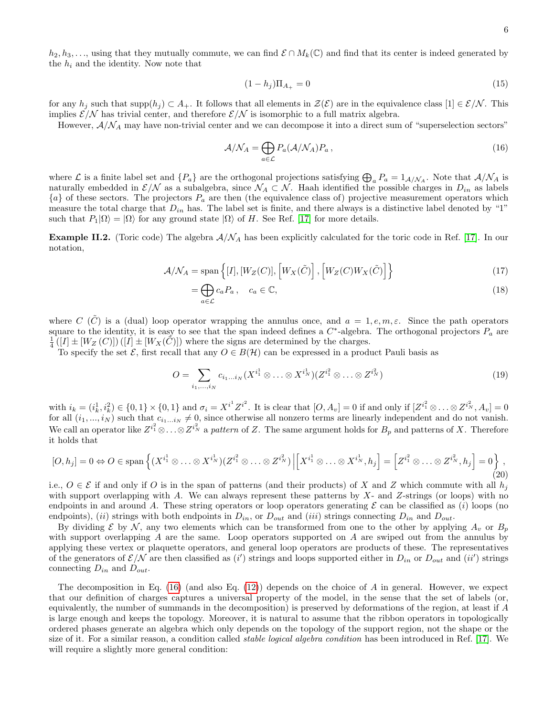$h_2, h_3, \ldots$ , using that they mutually commute, we can find  $\mathcal{E} \cap M_k(\mathbb{C})$  and find that its center is indeed generated by the  $h_i$  and the identity. Now note that

$$
(1 - h_j)\Pi_{A_+} = 0\tag{15}
$$

for any  $h_j$  such that supp $(h_j) \subset A_+$ . It follows that all elements in  $\mathcal{Z}(\mathcal{E})$  are in the equivalence class  $[1] \in \mathcal{E}/\mathcal{N}$ . This implies  $\mathcal{E}/\mathcal{N}$  has trivial center, and therefore  $\mathcal{E}/\mathcal{N}$  is isomorphic to a full matrix algebra.

However,  $A/N_A$  may have non-trivial center and we can decompose it into a direct sum of "superselection sectors"

<span id="page-5-0"></span>
$$
\mathcal{A}/\mathcal{N}_A = \bigoplus_{a \in \mathcal{L}} P_a(\mathcal{A}/\mathcal{N}_A) P_a \,,\tag{16}
$$

where  $\mathcal L$  is a finite label set and  $\{P_a\}$  are the orthogonal projections satisfying  $\bigoplus_a P_a = 1_{\mathcal A/\mathcal N_A}$ . Note that  $\mathcal A/\mathcal N_A$  is naturally embedded in  $\mathcal{E}/\mathcal{N}$  as a subalgebra, since  $\mathcal{N}_A \subset \mathcal{N}$ . Haah identified the possible charges in  $D_{in}$  as labels  ${a}$  of these sectors. The projectors  $P_a$  are then (the equivalence class of) projective measurement operators which measure the total charge that  $D_{in}$  has. The label set is finite, and there always is a distinctive label denoted by "1" such that  $P_1|\Omega\rangle = |\Omega\rangle$  for any ground state  $|\Omega\rangle$  of H. See Ref. [\[17\]](#page-25-12) for more details.

<span id="page-5-1"></span>**Example II.2.** (Toric code) The algebra  $A/N_A$  has been explicitly calculated for the toric code in Ref. [\[17\]](#page-25-12). In our notation,

$$
\mathcal{A}/\mathcal{N}_A = \text{span}\left\{ [I], [W_Z(C)], \left[ W_X(\tilde{C}) \right], \left[ W_Z(C)W_X(\tilde{C}) \right] \right\} \tag{17}
$$

$$
=\bigoplus_{a\in\mathcal{L}}c_aP_a\,,\quad c_a\in\mathbb{C},\tag{18}
$$

where C ( $\tilde{C}$ ) is a (dual) loop operator wrapping the annulus once, and  $a = 1, e, m, \varepsilon$ . Since the path operators square to the identity, it is easy to see that the span indeed defines a  $C^*$ -algebra. The orthogonal projectors  $P_a$  are  $\frac{1}{4}([I] \pm [W_Z(C)]) ([I] \pm [W_X(\tilde{C})])$  where the signs are determined by the charges.

To specify the set  $\mathcal{E}$ , first recall that any  $O \in B(\mathcal{H})$  can be expressed in a product Pauli basis as

$$
O = \sum_{i_1,\dots,i_N} c_{i_1\dots i_N} (X^{i_1^1} \otimes \dots \otimes X^{i_N^1}) (Z^{i_1^2} \otimes \dots \otimes Z^{i_N^2})
$$
\n
$$
(19)
$$

with  $i_k = (i_k^1, i_k^2) \in \{0, 1\} \times \{0, 1\}$  and  $\sigma_i = X^{i^1} Z^{i^2}$ . It is clear that  $[O, A_v] = 0$  if and only if  $[Z^{i_1^2} \otimes \ldots \otimes Z^{i_N^2}, A_v] = 0$ for all  $(i_1, ..., i_N)$  such that  $c_{i_1...i_N} \neq 0$ , since otherwise all nonzero terms are linearly independent and do not vanish. We call an operator like  $Z^{i_1^2} \otimes \ldots \otimes Z^{i_N^2}$  a pattern of Z. The same argument holds for  $B_p$  and patterns of X. Therefore it holds that

$$
[O, h_j] = 0 \Leftrightarrow O \in \text{span}\left\{ (X^{i_1^1} \otimes \ldots \otimes X^{i_N^1})(Z^{i_1^2} \otimes \ldots \otimes Z^{i_N^2}) \Big| \Big[X^{i_1^1} \otimes \ldots \otimes X^{i_N^1}, h_j\Big] = \Big[Z^{i_1^2} \otimes \ldots \otimes Z^{i_N^2}, h_j\Big] = 0 \right\},\tag{20}
$$

i.e.,  $O \in \mathcal{E}$  if and only if O is in the span of patterns (and their products) of X and Z which commute with all  $h_i$ with support overlapping with A. We can always represent these patterns by  $X$ - and  $Z$ -strings (or loops) with no endpoints in and around A. These string operators or loop operators generating  $\mathcal E$  can be classified as (i) loops (no endpoints), (ii) strings with both endpoints in  $D_{in}$ , or  $D_{out}$  and (iii) strings connecting  $D_{in}$  and  $D_{out}$ .

By dividing  $\mathcal E$  by  $\mathcal N$ , any two elements which can be transformed from one to the other by applying  $A_v$  or  $B_p$ with support overlapping  $A$  are the same. Loop operators supported on  $A$  are swiped out from the annulus by applying these vertex or plaquette operators, and general loop operators are products of these. The representatives of the generators of  $\mathcal{E}/\mathcal{N}$  are then classified as  $(i')$  strings and loops supported either in  $D_{in}$  or  $D_{out}$  and  $(ii')$  strings connecting  $D_{in}$  and  $D_{out}$ .

The decomposition in Eq. [\(16\)](#page-5-0) (and also Eq. [\(12\)](#page-4-0)) depends on the choice of A in general. However, we expect that our definition of charges captures a universal property of the model, in the sense that the set of labels (or, equivalently, the number of summands in the decomposition) is preserved by deformations of the region, at least if A is large enough and keeps the topology. Moreover, it is natural to assume that the ribbon operators in topologically ordered phases generate an algebra which only depends on the topology of the support region, not the shape or the size of it. For a similar reason, a condition called stable logical algebra condition has been introduced in Ref. [\[17\]](#page-25-12). We will require a slightly more general condition: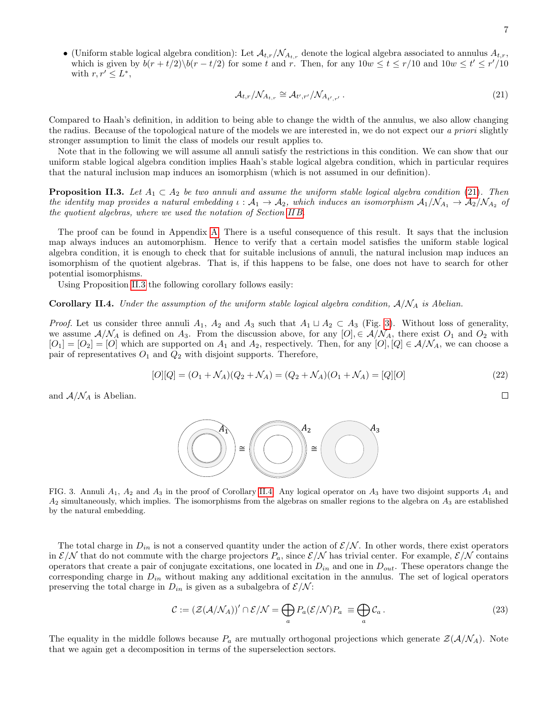• (Uniform stable logical algebra condition): Let  $\mathcal{A}_{t,r}/\mathcal{N}_{A_{t,r}}$  denote the logical algebra associated to annulus  $A_{t,r}$ , which is given by  $b(r+t/2)\setminus b(r-t/2)$  for some t and r. Then, for any  $10w \le t \le r/10$  and  $10w \le t' \le r'/10$ with  $r, r' \leq L^*$ ,

<span id="page-6-0"></span>
$$
\mathcal{A}_{t,r}/\mathcal{N}_{A_{t,r}} \cong \mathcal{A}_{t',r'}/\mathcal{N}_{A_{t',r'}}.
$$
\n
$$
(21)
$$

Compared to Haah's definition, in addition to being able to change the width of the annulus, we also allow changing the radius. Because of the topological nature of the models we are interested in, we do not expect our a priori slightly stronger assumption to limit the class of models our result applies to.

Note that in the following we will assume all annuli satisfy the restrictions in this condition. We can show that our uniform stable logical algebra condition implies Haah's stable logical algebra condition, which in particular requires that the natural inclusion map induces an isomorphism (which is not assumed in our definition).

<span id="page-6-1"></span>**Proposition II.3.** Let  $A_1 \subset A_2$  be two annuli and assume the uniform stable logical algebra condition [\(21\)](#page-6-0). Then the identity map provides a natural embedding  $\iota : A_1 \to A_2$ , which induces an isomorphism  $A_1/N_{A_1} \to A_2/N_{A_2}$  of the quotient algebras, where we used the notation of Section [II B.](#page-4-1)

The proof can be found in Appendix [A.](#page-15-0) There is a useful consequence of this result. It says that the inclusion map always induces an automorphism. Hence to verify that a certain model satisfies the uniform stable logical algebra condition, it is enough to check that for suitable inclusions of annuli, the natural inclusion map induces an isomorphism of the quotient algebras. That is, if this happens to be false, one does not have to search for other potential isomorphisms.

Using Proposition [II.3](#page-6-1) the following corollary follows easily:

### <span id="page-6-3"></span>**Corollary II.4.** Under the assumption of the uniform stable logical algebra condition,  $A/N_A$  is Abelian.

*Proof.* Let us consider three annuli  $A_1$ ,  $A_2$  and  $A_3$  such that  $A_1 \sqcup A_2 \subset A_3$  (Fig. [3\)](#page-6-2). Without loss of generality, we assume  $A/N_A$  is defined on  $A_3$ . From the discussion above, for any  $[O] \in A/N_A$ , there exist  $O_1$  and  $O_2$  with  $[O_1] = [O_2] = [O]$  which are supported on  $A_1$  and  $A_2$ , respectively. Then, for any  $[O], [Q] \in \mathcal{A}/\mathcal{N}_A$ , we can choose a pair of representatives  $O_1$  and  $Q_2$  with disjoint supports. Therefore,

$$
[O][Q] = (O_1 + N_A)(Q_2 + N_A) = (Q_2 + N_A)(O_1 + N_A) = [Q][O]
$$
\n(22)

and  $A/N_A$  is Abelian.

<span id="page-6-2"></span>FIG. 3. Annuli  $A_1$ ,  $A_2$  and  $A_3$  in the proof of Corollary [II.4.](#page-6-3) Any logical operator on  $A_3$  have two disjoint supports  $A_1$  and  $A_2$  simultaneously, which implies. The isomorphisms from the algebras on smaller regions to the algebra on  $A_3$  are established by the natural embedding.

The total charge in  $D_{in}$  is not a conserved quantity under the action of  $\mathcal{E}/\mathcal{N}$ . In other words, there exist operators in  $\mathcal{E}/\mathcal{N}$  that do not commute with the charge projectors  $P_a$ , since  $\mathcal{E}/\mathcal{N}$  has trivial center. For example,  $\mathcal{E}/\mathcal{N}$  contains operators that create a pair of conjugate excitations, one located in  $D_{in}$  and one in  $D_{out}$ . These operators change the corresponding charge in  $D_{in}$  without making any additional excitation in the annulus. The set of logical operators preserving the total charge in  $D_{in}$  is given as a subalgebra of  $\mathcal{E}/\mathcal{N}$ :

$$
\mathcal{C} := \left(\mathcal{Z}(\mathcal{A}/\mathcal{N}_A)\right)' \cap \mathcal{E}/\mathcal{N} = \bigoplus_a P_a(\mathcal{E}/\mathcal{N})P_a \equiv \bigoplus_a \mathcal{C}_a \,. \tag{23}
$$

The equality in the middle follows because  $P_a$  are mutually orthogonal projections which generate  $\mathcal{Z}(\mathcal{A}/\mathcal{N}_A)$ . Note that we again get a decomposition in terms of the superselection sectors.



<span id="page-6-4"></span>
$$
\Box
$$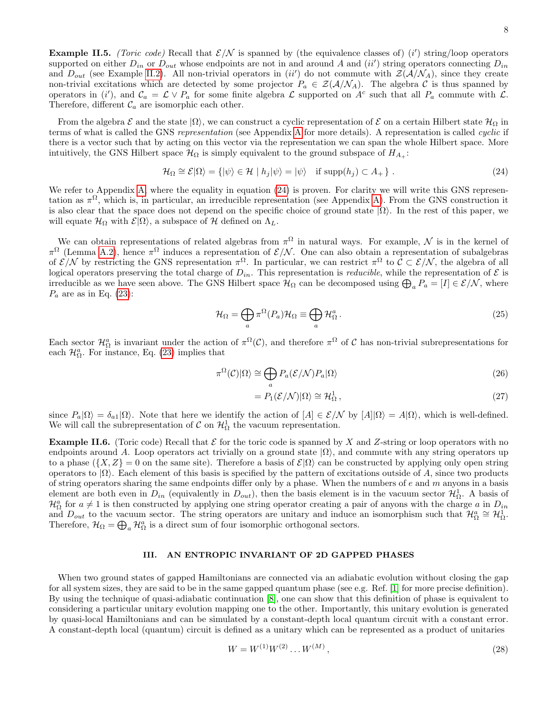From the algebra  $\mathcal E$  and the state  $|\Omega\rangle$ , we can construct a cyclic representation of  $\mathcal E$  on a certain Hilbert state  $\mathcal H_\Omega$  in terms of what is called the GNS representation (see Appendix [A](#page-15-0) for more details). A representation is called cyclic if there is a vector such that by acting on this vector via the representation we can span the whole Hilbert space. More intuitively, the GNS Hilbert space  $\mathcal{H}_{\Omega}$  is simply equivalent to the ground subspace of  $H_{A_{+}}$ :

<span id="page-7-1"></span>
$$
\mathcal{H}_{\Omega} \cong \mathcal{E}|\Omega\rangle = \{ |\psi\rangle \in \mathcal{H} \mid h_j|\psi\rangle = |\psi\rangle \quad \text{if } \text{supp}(h_j) \subset A_+ \} \,. \tag{24}
$$

We refer to Appendix [A,](#page-15-0) where the equality in equation [\(24\)](#page-7-1) is proven. For clarity we will write this GNS representation as  $\pi^{\Omega}$ , which is, in particular, an irreducible representation (see Appendix [A\)](#page-15-0). From the GNS construction it is also clear that the space does not depend on the specific choice of ground state  $|\Omega\rangle$ . In the rest of this paper, we will equate  $\mathcal{H}_{\Omega}$  with  $\mathcal{E}|\Omega\rangle$ , a subspace of H defined on  $\Lambda_L$ .

We can obtain representations of related algebras from  $\pi^{\Omega}$  in natural ways. For example, N is in the kernel of  $\pi^{\Omega}$  (Lemma [A.2\)](#page-17-0), hence  $\pi^{\Omega}$  induces a representation of  $\mathcal{E}/\mathcal{N}$ . One can also obtain a representation of subalgebras of  $\mathcal{E}/\mathcal{N}$  by restricting the GNS representation  $\pi^{\Omega}$ . In particular, we can restrict  $\pi^{\Omega}$  to  $\mathcal{C} \subset \mathcal{E}/\mathcal{N}$ , the algebra of all logical operators preserving the total charge of  $D_{in}$ . This representation is *reducible*, while the representation of  $\mathcal E$  is irreducible as we have seen above. The GNS Hilbert space  $\mathcal{H}_{\Omega}$  can be decomposed using  $\bigoplus_{a} P_a = [I] \in \mathcal{E}/\mathcal{N}$ , where  $P_a$  are as in Eq. [\(23\)](#page-6-4):

$$
\mathcal{H}_{\Omega} = \bigoplus_{a} \pi^{\Omega}(P_a) \mathcal{H}_{\Omega} \equiv \bigoplus_{a} \mathcal{H}_{\Omega}^a.
$$
\n(25)

Each sector  $\mathcal{H}_{\Omega}^a$  is invariant under the action of  $\pi^{\Omega}(\mathcal{C})$ , and therefore  $\pi^{\Omega}$  of  $\mathcal C$  has non-trivial subrepresentations for each  $\mathcal{H}_{\Omega}^{a}$ . For instance, Eq. [\(23\)](#page-6-4) implies that

$$
\pi^{\Omega}(\mathcal{C})|\Omega\rangle \cong \bigoplus_{a} P_a(\mathcal{E}/\mathcal{N})P_a|\Omega\rangle
$$
\n(26)

$$
=P_1(\mathcal{E}/\mathcal{N})|\Omega\rangle \cong \mathcal{H}^1_{\Omega},\tag{27}
$$

since  $P_a|\Omega\rangle = \delta_{a1}|\Omega\rangle$ . Note that here we identify the action of  $[A] \in \mathcal{E}/\mathcal{N}$  by  $[A]|\Omega\rangle = A|\Omega\rangle$ , which is well-defined. We will call the subrepresentation of  $\mathcal{C}$  on  $\mathcal{H}^1_{\Omega}$  the vacuum representation.

**Example II.6.** (Toric code) Recall that  $\mathcal E$  for the toric code is spanned by X and Z-string or loop operators with no endpoints around A. Loop operators act trivially on a ground state  $|\Omega\rangle$ , and commute with any string operators up to a phase  $({X, Z} = 0$  on the same site). Therefore a basis of  $\mathcal{E}|\Omega\rangle$  can be constructed by applying only open string operators to  $|\Omega\rangle$ . Each element of this basis is specified by the pattern of excitations outside of A, since two products of string operators sharing the same endpoints differ only by a phase. When the numbers of  $e$  and  $m$  anyons in a basis element are both even in  $D_{in}$  (equivalently in  $D_{out}$ ), then the basis element is in the vacuum sector  $\mathcal{H}_{\Omega}^1$ . A basis of  $\mathcal{H}_{\Omega}^a$  for  $a \neq 1$  is then constructed by applying one string operator creating a pair of anyons with the charge a in  $D_{in}$ and  $D_{out}$  to the vacuum sector. The string operators are unitary and induce an isomorphism such that  $\mathcal{H}_{\Omega}^a \cong \mathcal{H}_{\Omega}^1$ . Therefore,  $\mathcal{H}_{\Omega} = \bigoplus_{a} \mathcal{H}_{\Omega}^{a}$  is a direct sum of four isomorphic orthogonal sectors.

# <span id="page-7-0"></span>III. AN ENTROPIC INVARIANT OF 2D GAPPED PHASES

When two ground states of gapped Hamiltonians are connected via an adiabatic evolution without closing the gap for all system sizes, they are said to be in the same gapped quantum phase (see e.g. Ref. [\[1\]](#page-24-0) for more precise definition). By using the technique of quasi-adiabatic continuation [\[8\]](#page-25-4), one can show that this definition of phase is equivalent to considering a particular unitary evolution mapping one to the other. Importantly, this unitary evolution is generated by quasi-local Hamiltonians and can be simulated by a constant-depth local quantum circuit with a constant error. A constant-depth local (quantum) circuit is defined as a unitary which can be represented as a product of unitaries

$$
W = W^{(1)}W^{(2)}\dots W^{(M)},\tag{28}
$$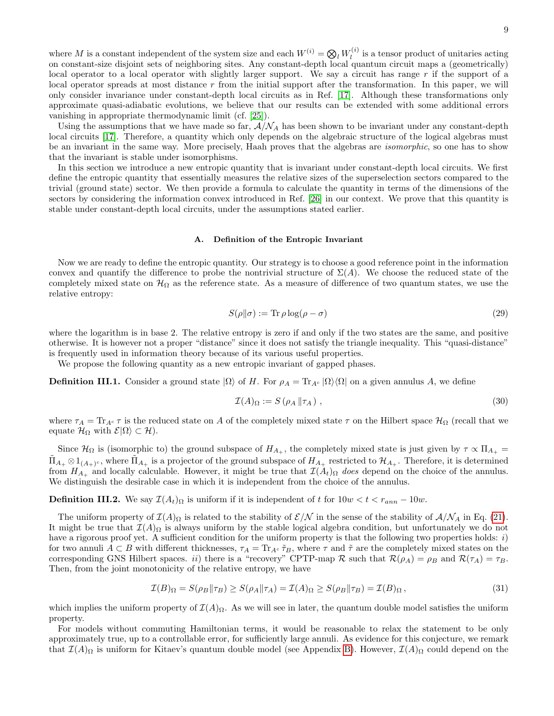where  $M$  is a constant independent of the system size and each  $W^{(i)} = \bigotimes_l W^{(i)}_l$  $\ell_l^{(i)}$  is a tensor product of unitaries acting on constant-size disjoint sets of neighboring sites. Any constant-depth local quantum circuit maps a (geometrically) local operator to a local operator with slightly larger support. We say a circuit has range  $r$  if the support of a local operator spreads at most distance r from the initial support after the transformation. In this paper, we will only consider invariance under constant-depth local circuits as in Ref. [\[17\]](#page-25-12). Although these transformations only approximate quasi-adiabatic evolutions, we believe that our results can be extended with some additional errors vanishing in appropriate thermodynamic limit (cf. [\[25\]](#page-25-20)).

Using the assumptions that we have made so far,  $\mathcal{A}/\mathcal{N}_A$  has been shown to be invariant under any constant-depth local circuits [\[17\]](#page-25-12). Therefore, a quantity which only depends on the algebraic structure of the logical algebras must be an invariant in the same way. More precisely, Haah proves that the algebras are isomorphic, so one has to show that the invariant is stable under isomorphisms.

In this section we introduce a new entropic quantity that is invariant under constant-depth local circuits. We first define the entropic quantity that essentially measures the relative sizes of the superselection sectors compared to the trivial (ground state) sector. We then provide a formula to calculate the quantity in terms of the dimensions of the sectors by considering the information convex introduced in Ref. [\[26\]](#page-25-21) in our context. We prove that this quantity is stable under constant-depth local circuits, under the assumptions stated earlier.

### A. Definition of the Entropic Invariant

Now we are ready to define the entropic quantity. Our strategy is to choose a good reference point in the information convex and quantify the difference to probe the nontrivial structure of  $\Sigma(A)$ . We choose the reduced state of the completely mixed state on  $\mathcal{H}_{\Omega}$  as the reference state. As a measure of difference of two quantum states, we use the relative entropy:

$$
S(\rho \|\sigma) := \text{Tr}\,\rho \log(\rho - \sigma) \tag{29}
$$

where the logarithm is in base 2. The relative entropy is zero if and only if the two states are the same, and positive otherwise. It is however not a proper "distance" since it does not satisfy the triangle inequality. This "quasi-distance" is frequently used in information theory because of its various useful properties.

We propose the following quantity as a new entropic invariant of gapped phases.

**Definition III.1.** Consider a ground state  $|\Omega\rangle$  of H. For  $\rho_A = \text{Tr}_{A^c} |\Omega\rangle\langle\Omega|$  on a given annulus A, we define

<span id="page-8-0"></span>
$$
\mathcal{I}(A)_{\Omega} := S\left(\rho_A \|\tau_A\right) \,,\tag{30}
$$

where  $\tau_A = \text{Tr}_{A^c} \tau$  is the reduced state on A of the completely mixed state  $\tau$  on the Hilbert space  $\mathcal{H}_{\Omega}$  (recall that we equate  $\mathcal{H}_{\Omega}$  with  $\mathcal{E}|\Omega\rangle \subset \mathcal{H}$ ).

Since  $\mathcal{H}_{\Omega}$  is (isomorphic to) the ground subspace of  $H_{A_+}$ , the completely mixed state is just given by  $\tau \propto \Pi_{A_+}$  $\tilde{\Pi}_{A_+} \otimes 1_{(A_+)^c}$ , where  $\tilde{\Pi}_{A_+}$  is a projector of the ground subspace of  $H_{A_+}$  restricted to  $\mathcal{H}_{A_+}$ . Therefore, it is determined from  $H_{A_+}$  and locally calculable. However, it might be true that  $\mathcal{I}(A_t)_{\Omega}$  does depend on the choice of the annulus. We distinguish the desirable case in which it is independent from the choice of the annulus.

<span id="page-8-1"></span>**Definition III.2.** We say  $\mathcal{I}(A_t)_{\Omega}$  is uniform if it is independent of t for  $10w < t < r_{ann} - 10w$ .

The uniform property of  $\mathcal{I}(A)_{\Omega}$  is related to the stability of  $\mathcal{E}/\mathcal{N}$  in the sense of the stability of  $\mathcal{A}/\mathcal{N}_A$  in Eq. [\(21\)](#page-6-0). It might be true that  $\mathcal{I}(A)_{\Omega}$  is always uniform by the stable logical algebra condition, but unfortunately we do not have a rigorous proof yet. A sufficient condition for the uniform property is that the following two properties holds:  $i$ ) for two annuli  $A \subset B$  with different thicknesses,  $\tau_A = \text{Tr}_{A^c} \tilde{\tau}_B$ , where  $\tau$  and  $\tilde{\tau}$  are the completely mixed states on the corresponding GNS Hilbert spaces. ii) there is a "recovery" CPTP-map  $\mathcal{R}$  such that  $\mathcal{R}(\rho_A) = \rho_B$  and  $\mathcal{R}(\tau_A) = \tau_B$ . Then, from the joint monotonicity of the relative entropy, we have

$$
\mathcal{I}(B)_{\Omega} = S(\rho_B || \tau_B) \ge S(\rho_A || \tau_A) = \mathcal{I}(A)_{\Omega} \ge S(\rho_B || \tau_B) = \mathcal{I}(B)_{\Omega},\tag{31}
$$

which implies the uniform property of  $\mathcal{I}(A)_{\Omega}$ . As we will see in later, the quantum double model satisfies the uniform property.

For models without commuting Hamiltonian terms, it would be reasonable to relax the statement to be only approximately true, up to a controllable error, for sufficiently large annuli. As evidence for this conjecture, we remark that  $\mathcal{I}(A)_{\Omega}$  is uniform for Kitaev's quantum double model (see Appendix [B\)](#page-18-0). However,  $\mathcal{I}(A)_{\Omega}$  could depend on the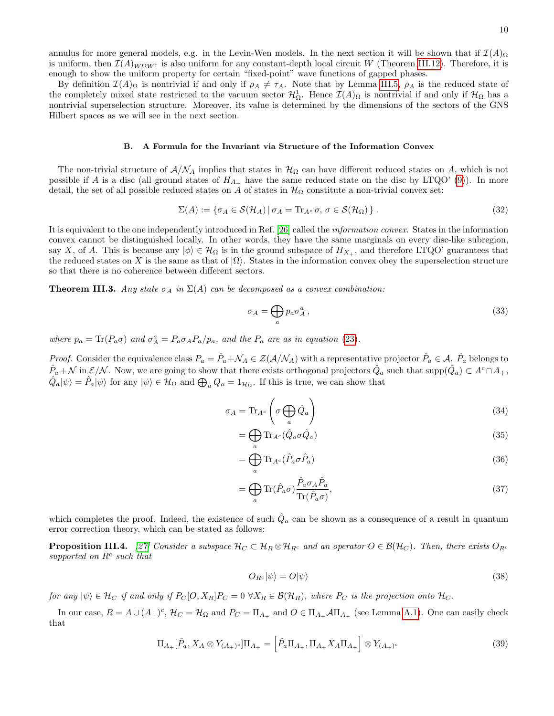annulus for more general models, e.g. in the Levin-Wen models. In the next section it will be shown that if  $\mathcal{I}(A)_{\Omega}$ is uniform, then  $\mathcal{I}(A)_{W\Omega W^{\dagger}}$  is also uniform for any constant-depth local circuit W (Theorem [III.12\)](#page-11-0). Therefore, it is enough to show the uniform property for certain "fixed-point" wave functions of gapped phases.

By definition  $\mathcal{I}(A)_{\Omega}$  is nontrivial if and only if  $\rho_A \neq \tau_A$ . Note that by Lemma [III.5,](#page-10-0)  $\rho_A$  is the reduced state of the completely mixed state restricted to the vacuum sector  $\mathcal{H}^1_{\Omega}$ . Hence  $\mathcal{I}(A)_{\Omega}$  is nontrivial if and only if  $\mathcal{H}_{\Omega}$  has a nontrivial superselection structure. Moreover, its value is determined by the dimensions of the sectors of the GNS Hilbert spaces as we will see in the next section.

#### B. A Formula for the Invariant via Structure of the Information Convex

The non-trivial structure of  $A/N_A$  implies that states in  $H_{\Omega}$  can have different reduced states on A, which is not possible if A is a disc (all ground states of  $H_{A_+}$  have the same reduced state on the disc by LTQO' [\(9\)](#page-3-1)). In more detail, the set of all possible reduced states on A of states in  $\mathcal{H}_{\Omega}$  constitute a non-trivial convex set:

<span id="page-9-1"></span>
$$
\Sigma(A) := \{ \sigma_A \in \mathcal{S}(\mathcal{H}_A) \, | \, \sigma_A = \text{Tr}_{A^c} \sigma, \, \sigma \in \mathcal{S}(\mathcal{H}_\Omega) \} \,. \tag{32}
$$

It is equivalent to the one independently introduced in Ref. [\[26\]](#page-25-21) called the information convex. States in the information convex cannot be distinguished locally. In other words, they have the same marginals on every disc-like subregion, say X, of A. This is because any  $|\phi\rangle \in \mathcal{H}_{\Omega}$  is in the ground subspace of  $H_{X_+}$ , and therefore LTQO' guarantees that the reduced states on X is the same as that of  $|\Omega\rangle$ . States in the information convex obey the superselection structure so that there is no coherence between different sectors.

<span id="page-9-0"></span>**Theorem III.3.** Any state  $\sigma_A$  in  $\Sigma(A)$  can be decomposed as a convex combination:

$$
\sigma_A = \bigoplus_a p_a \sigma_A^a \,, \tag{33}
$$

where  $p_a = \text{Tr}(P_a \sigma)$  and  $\sigma_A^a = P_a \sigma_A P_a / p_a$ , and the  $P_a$  are as in equation [\(23\)](#page-6-4).

*Proof.* Consider the equivalence class  $P_a = \hat{P}_a + \mathcal{N}_A \in \mathcal{Z}(\mathcal{A}/\mathcal{N}_A)$  with a representative projector  $\hat{P}_a \in \mathcal{A}$ .  $\hat{P}_a$  belongs to  $\hat{P}_a + \mathcal{N}$  in  $\mathcal{E}/\mathcal{N}$ . Now, we are going to show that there exists orthogonal projectors  $\hat{Q}_a$  such that  $\text{supp}(\hat{Q}_a) \subset A^c \cap A_+$ ,  $\hat{Q}_a|\psi\rangle = \hat{P}_a|\psi\rangle$  for any  $|\psi\rangle \in \mathcal{H}_{\Omega}$  and  $\bigoplus_a Q_a = 1_{\mathcal{H}_{\Omega}}$ . If this is true, we can show that

$$
\sigma_A = \text{Tr}_{A^c} \left( \sigma \bigoplus_a \hat{Q}_a \right) \tag{34}
$$

$$
=\bigoplus_{a}\text{Tr}_{A^c}(\hat{Q}_a\sigma\hat{Q}_a)\tag{35}
$$

$$
=\bigoplus_{a}\text{Tr}_{A^c}(\hat{P}_a\sigma\hat{P}_a)\tag{36}
$$

$$
=\bigoplus_{a} \text{Tr}(\hat{P}_a \sigma) \frac{\hat{P}_a \sigma_A \hat{P}_a}{\text{Tr}(\hat{P}_a \sigma)},\tag{37}
$$

which completes the proof. Indeed, the existence of such  $\hat{Q}_a$  can be shown as a consequence of a result in quantum error correction theory, which can be stated as follows:

**Proposition III.4.** [\[27\]](#page-25-22) Consider a subspace  $\mathcal{H}_C \subset \mathcal{H}_R \otimes \mathcal{H}_{R^c}$  and an operator  $O \in \mathcal{B}(\mathcal{H}_C)$ . Then, there exists  $O_{R^c}$ supported on  $R^c$  such that

$$
O_{R^c}|\psi\rangle = O|\psi\rangle \tag{38}
$$

for any  $|\psi\rangle \in \mathcal{H}_C$  if and only if  $P_C[O, X_R]P_C = 0 \ \forall X_R \in \mathcal{B}(\mathcal{H}_R)$ , where  $P_C$  is the projection onto  $\mathcal{H}_C$ .

=

In our case,  $R = A \cup (A_+)^c$ ,  $\mathcal{H}_C = \mathcal{H}_{\Omega}$  and  $P_C = \Pi_{A_+}$  and  $O \in \Pi_{A_+}$  AI $\Pi_{A_+}$  (see Lemma [A.1\)](#page-17-1). One can easily check that

$$
\Pi_{A_{+}}[\hat{P}_{a}, X_{A} \otimes Y_{(A_{+})^{c}}] \Pi_{A_{+}} = \left[\hat{P}_{a} \Pi_{A_{+}}, \Pi_{A_{+}} X_{A} \Pi_{A_{+}}\right] \otimes Y_{(A_{+})^{c}}
$$
\n(39)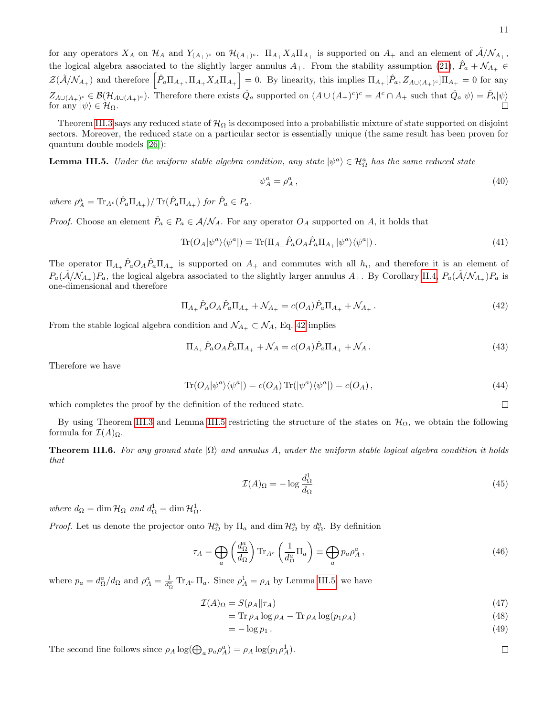$\Box$ 

<span id="page-10-2"></span> $\Box$ 

for any operators  $X_A$  on  $\mathcal{H}_A$  and  $Y_{(A_+)^c}$  on  $\mathcal{H}_{(A_+)^c}$ .  $\Pi_{A_+} X_A \Pi_{A_+}$  is supported on  $A_+$  and an element of  $\mathcal{A}/\mathcal{N}_{A_+}$ , the logical algebra associated to the slightly larger annulus  $A_+$ . From the stability assumption [\(21\)](#page-6-0),  $\hat{P}_a + \mathcal{N}_{A_+} \in$  $\mathcal{Z}(\tilde{\mathcal{A}}/\mathcal{N}_{A_+})$  and therefore  $\left[\hat{P}_a\Pi_{A_+},\Pi_{A_+}X_A\Pi_{A_+}\right]=0$ . By linearity, this implies  $\Pi_{A_+}[\hat{P}_a,Z_{A\cup(A_+)^c}]\Pi_{A_+}=0$  for any  $Z_{A\cup (A_+)^c} \in \mathcal{B}(\mathcal{H}_{A\cup (A_+)^c})$ . Therefore there exists  $\hat{Q}_a$  supported on  $(A\cup (A_+)^c)^c = A^c \cap A_+$  such that  $\hat{Q}_a |\psi\rangle = \hat{P}_a |\psi\rangle$ for any  $|\psi\rangle \in \mathcal{H}_{\Omega}$ . □

Theorem [III.3](#page-9-0) says any reduced state of  $\mathcal{H}_{\Omega}$  is decomposed into a probabilistic mixture of state supported on disjoint sectors. Moreover, the reduced state on a particular sector is essentially unique (the same result has been proven for quantum double models [\[26\]](#page-25-21)):

<span id="page-10-0"></span>**Lemma III.5.** Under the uniform stable algebra condition, any state  $|\psi^a\rangle \in \mathcal{H}_{\Omega}^a$  has the same reduced state

$$
\psi_A^a = \rho_A^a \,,\tag{40}
$$

where  $\rho_A^a = \text{Tr}_{A^c}(\hat{P}_a \Pi_{A_+}) / \text{Tr}(\hat{P}_a \Pi_{A_+})$  for  $\hat{P}_a \in P_a$ .

*Proof.* Choose an element  $\hat{P}_a \in P_a \in \mathcal{A}/\mathcal{N}_A$ . For any operator  $O_A$  supported on A, it holds that

$$
\text{Tr}(O_A|\psi^a\rangle\langle\psi^a|) = \text{Tr}(\Pi_{A_+}\hat{P}_aO_A\hat{P}_a\Pi_{A_+}|\psi^a\rangle\langle\psi^a|).
$$
\n(41)

The operator  $\Pi_{A_+}\hat{P}_aO_A\hat{P}_a\Pi_{A_+}$  is supported on  $A_+$  and commutes with all  $h_i$ , and therefore it is an element of  $P_a(\mathcal{A}/\mathcal{N}_{A_+})P_a$ , the logical algebra associated to the slightly larger annulus  $A_+$ . By Corollary [II.4,](#page-6-3)  $P_a(\mathcal{A}/\mathcal{N}_{A_+})P_a$  is one-dimensional and therefore

<span id="page-10-1"></span>
$$
\Pi_{A_+} \hat{P}_a O_A \hat{P}_a \Pi_{A_+} + \mathcal{N}_{A_+} = c(O_A) \hat{P}_a \Pi_{A_+} + \mathcal{N}_{A_+} \,. \tag{42}
$$

From the stable logical algebra condition and  $\mathcal{N}_{A_{+}} \subset \mathcal{N}_{A}$ , Eq. [42](#page-10-1) implies

$$
\Pi_{A_+} \hat{P}_a O_A \hat{P}_a \Pi_{A_+} + \mathcal{N}_A = c(O_A) \hat{P}_a \Pi_{A_+} + \mathcal{N}_A \,. \tag{43}
$$

Therefore we have

$$
\operatorname{Tr}(O_A|\psi^a\rangle\langle\psi^a|) = c(O_A)\operatorname{Tr}(|\psi^a\rangle\langle\psi^a|) = c(O_A),\tag{44}
$$

which completes the proof by the definition of the reduced state.

By using Theorem [III.3](#page-9-0) and Lemma [III.5](#page-10-0) restricting the structure of the states on  $\mathcal{H}_{\Omega}$ , we obtain the following formula for  $\mathcal{I}(A)_{\Omega}$ .

<span id="page-10-3"></span>**Theorem III.6.** For any ground state  $|\Omega\rangle$  and annulus A, under the uniform stable logical algebra condition it holds that

<span id="page-10-4"></span>
$$
\mathcal{I}(A)_{\Omega} = -\log \frac{d_{\Omega}^{1}}{d_{\Omega}} \tag{45}
$$

where  $d_{\Omega} = \dim \mathcal{H}_{\Omega}$  and  $d_{\Omega}^1 = \dim \mathcal{H}_{\Omega}^1$ .

*Proof.* Let us denote the projector onto  $\mathcal{H}_{\Omega}^a$  by  $\Pi_a$  and dim  $\mathcal{H}_{\Omega}^a$  by  $d_{\Omega}^a$ . By definition

$$
\tau_A = \bigoplus_{a} \left( \frac{d_{\Omega}^a}{d_{\Omega}} \right) \operatorname{Tr}_{A^c} \left( \frac{1}{d_{\Omega}^a} \Pi_a \right) \equiv \bigoplus_{a} p_a \rho_A^a \,, \tag{46}
$$

where  $p_a = d_{\Omega}^a/d_{\Omega}$  and  $\rho_A^a = \frac{1}{d_{\Omega}^a} \text{Tr}_{A^c} \Pi_a$ . Since  $\rho_A^1 = \rho_A$  by Lemma [III.5,](#page-10-0) we have

$$
\mathcal{I}(A)_{\Omega} = S(\rho_A || \tau_A) \tag{47}
$$

$$
= \text{Tr}\,\rho_A \log \rho_A - \text{Tr}\,\rho_A \log(p_1 \rho_A) \tag{48}
$$

$$
= -\log p_1. \tag{49}
$$

The second line follows since  $\rho_A \log(\bigoplus_a p_a \rho_A^a) = \rho_A \log(p_1 \rho_A^1)$ .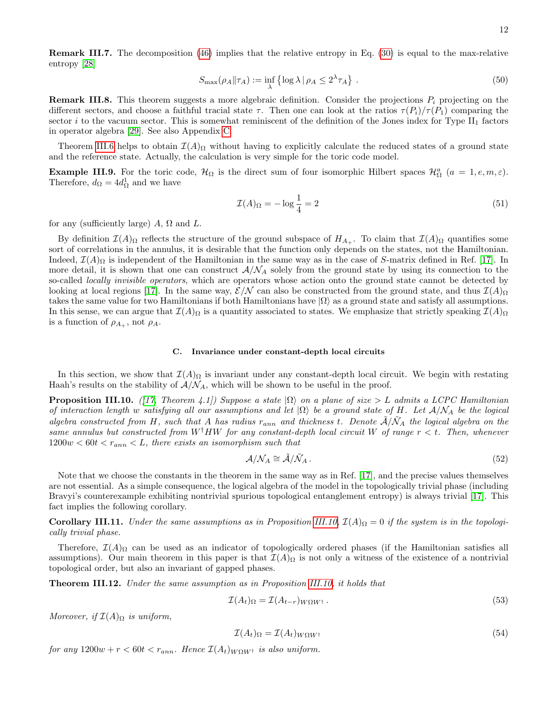Remark III.7. The decomposition [\(46\)](#page-10-2) implies that the relative entropy in Eq. [\(30\)](#page-8-0) is equal to the max-relative entropy [\[28\]](#page-25-23)

$$
S_{\max}(\rho_A \| \tau_A) := \inf_{\lambda} \left\{ \log \lambda \, | \, \rho_A \le 2^{\lambda} \tau_A \right\} \,. \tag{50}
$$

**Remark III.8.** This theorem suggests a more algebraic definition. Consider the projections  $P_i$  projecting on the different sectors, and choose a faithful tracial state  $\tau$ . Then one can look at the ratios  $\tau(P_i)/\tau(P_1)$  comparing the sector i to the vacuum sector. This is somewhat reminiscent of the definition of the Jones index for Type  $II_1$  factors in operator algebra [\[29\]](#page-25-24). See also Appendix [C.](#page-22-0)

Theorem [III.6](#page-10-3) helps to obtain  $\mathcal{I}(A)_{\Omega}$  without having to explicitly calculate the reduced states of a ground state and the reference state. Actually, the calculation is very simple for the toric code model.

<span id="page-11-3"></span>**Example III.9.** For the toric code,  $\mathcal{H}_{\Omega}$  is the direct sum of four isomorphic Hilbert spaces  $\mathcal{H}_{\Omega}^{a}$  ( $a = 1, e, m, \varepsilon$ ). Therefore,  $d_{\Omega} = 4d_{\Omega}^1$  and we have

$$
\mathcal{I}(A)_{\Omega} = -\log \frac{1}{4} = 2\tag{51}
$$

for any (sufficiently large)  $A$ ,  $\Omega$  and  $L$ .

By definition  $\mathcal{I}(A)_{\Omega}$  reflects the structure of the ground subspace of  $H_{A_+}$ . To claim that  $\mathcal{I}(A)_{\Omega}$  quantifies some sort of correlations in the annulus, it is desirable that the function only depends on the states, not the Hamiltonian. Indeed,  $\mathcal{I}(A)_{\Omega}$  is independent of the Hamiltonian in the same way as in the case of S-matrix defined in Ref. [\[17\]](#page-25-12). In more detail, it is shown that one can construct  $A/N_A$  solely from the ground state by using its connection to the so-called *locally invisible operators*, which are operators whose action onto the ground state cannot be detected by looking at local regions [\[17\]](#page-25-12). In the same way,  $\mathcal{E}/\mathcal{N}$  can also be constructed from the ground state, and thus  $\mathcal{I}(A)_{\Omega}$ takes the same value for two Hamiltonians if both Hamiltonians have  $|\Omega\rangle$  as a ground state and satisfy all assumptions. In this sense, we can argue that  $\mathcal{I}(A)_{\Omega}$  is a quantity associated to states. We emphasize that strictly speaking  $\mathcal{I}(A)_{\Omega}$ is a function of  $\rho_{A_+}$ , not  $\rho_A$ .

### C. Invariance under constant-depth local circuits

In this section, we show that  $\mathcal{I}(A)_{\Omega}$  is invariant under any constant-depth local circuit. We begin with restating Haah's results on the stability of  $A/N_A$ , which will be shown to be useful in the proof.

<span id="page-11-1"></span>**Proposition III.10.** ([\[17,](#page-25-12) Theorem 4.1]) Suppose a state  $|\Omega\rangle$  on a plane of size > L admits a LCPC Hamiltonian of interaction length w satisfying all our assumptions and let  $|\Omega\rangle$  be a ground state of H. Let  $\mathcal{A}/\mathcal{N}_A$  be the logical algebra constructed from H, such that A has radius  $r_{ann}$  and thickness t. Denote  $\tilde{A}/\tilde{N}_A$  the logical algebra on the same annulus but constructed from  $W^{\dagger}HW$  for any constant-depth local circuit W of range  $r < t$ . Then, whenever  $1200w < 60t < r_{ann} < L$ , there exists an isomorphism such that

$$
\mathcal{A}/\mathcal{N}_A \cong \tilde{\mathcal{A}}/\tilde{\mathcal{N}}_A \,. \tag{52}
$$

Note that we choose the constants in the theorem in the same way as in Ref. [\[17\]](#page-25-12), and the precise values themselves are not essential. As a simple consequence, the logical algebra of the model in the topologically trivial phase (including Bravyi's counterexample exhibiting nontrivial spurious topological entanglement entropy) is always trivial [\[17\]](#page-25-12). This fact implies the following corollary.

Corollary III.11. Under the same assumptions as in Proposition [III.10,](#page-11-1)  $\mathcal{I}(A)_{\Omega} = 0$  if the system is in the topologically trivial phase.

Therefore,  $\mathcal{I}(A)_{\Omega}$  can be used as an indicator of topologically ordered phases (if the Hamiltonian satisfies all assumptions). Our main theorem in this paper is that  $\mathcal{I}(A)_{\Omega}$  is not only a witness of the existence of a nontrivial topological order, but also an invariant of gapped phases.

<span id="page-11-0"></span>Theorem III.12. Under the same assumption as in Proposition [III.10,](#page-11-1) it holds that

<span id="page-11-2"></span>
$$
\mathcal{I}(A_t)_{\Omega} = \mathcal{I}(A_{t-r})_{W\Omega W^{\dagger}}.
$$
\n
$$
(53)
$$

Moreover, if  $\mathcal{I}(A)_{\Omega}$  is uniform,

$$
\mathcal{I}(A_t)_{\Omega} = \mathcal{I}(A_t)_{W\Omega W^{\dagger}}
$$
\n(54)

for any  $1200w + r < 60t < r_{ann}$ . Hence  $\mathcal{I}(A_t)_{W\Omega W^{\dagger}}$  is also uniform.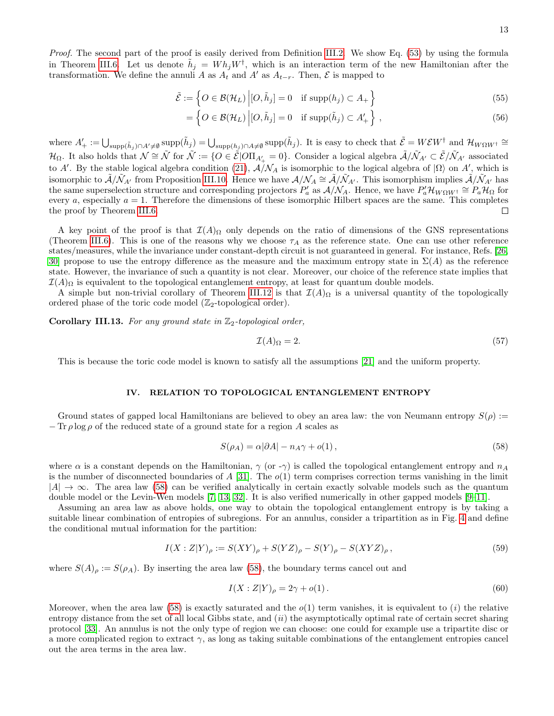$$
\tilde{\mathcal{E}} := \left\{ O \in \mathcal{B}(\mathcal{H}_L) \middle| [O, \tilde{h}_j] = 0 \quad \text{if } \text{supp}(h_j) \subset A_+ \right\}
$$
\n
$$
(55)
$$

$$
= \left\{ O \in \mathcal{B}(\mathcal{H}_L) \middle| [O, \tilde{h}_j] = 0 \quad \text{if } \text{supp}(\tilde{h}_j) \subset A'_+ \right\},\tag{56}
$$

where  $A'_{+} := \bigcup_{\text{supp}(\tilde{h}_j) \cap A' \neq \emptyset} \text{supp}(\tilde{h}_j) = \bigcup_{\text{supp}(h_j) \cap A \neq \emptyset} \text{supp}(\tilde{h}_j)$ . It is easy to check that  $\tilde{\mathcal{E}} = W \mathcal{E} W^{\dagger}$  and  $\mathcal{H}_{W\Omega W^{\dagger}} \cong$  $\mathcal{H}_{\Omega}$ . It also holds that  $\mathcal{N} \cong \tilde{\mathcal{N}}$  for  $\tilde{\mathcal{N}} := \{O \in \tilde{\mathcal{E}} | O \Pi_{A'_{+}} = 0\}$ . Consider a logical algebra  $\tilde{\mathcal{A}} / \tilde{\mathcal{N}}_{A'} \subset \tilde{\mathcal{E}} / \tilde{\mathcal{N}}_{A'}$  associated to A'. By the stable logical algebra condition [\(21\)](#page-6-0),  $\mathcal{A}/\mathcal{N}_A$  is isomorphic to the logical algebra of  $|\Omega\rangle$  on A', which is isomorphic to  $\tilde{\mathcal{A}}/\tilde{\mathcal{N}}_{A'}$  from Proposition [III.10.](#page-11-1) Hence we have  $\mathcal{A}/\mathcal{N}_A \cong \tilde{\mathcal{A}}/\tilde{\mathcal{N}}_{A'}$ . This isomorphism implies  $\tilde{\mathcal{A}}/\tilde{\mathcal{N}}_{A'}$  has the same superselection structure and corresponding projectors  $P'_a$  as  $A/N_A$ . Hence, we have  $P'_a\mathcal{H}_{W\Omega W^{\dagger}} \cong P_a\mathcal{H}_{\Omega}$  for every  $a$ , especially  $a = 1$ . Therefore the dimensions of these isomorphic Hilbert spaces are the same. This completes the proof by Theorem [III.6.](#page-10-3)  $\Box$ 

A key point of the proof is that  $\mathcal{I}(A)_{\Omega}$  only depends on the ratio of dimensions of the GNS representations (Theorem [III.6\)](#page-10-3). This is one of the reasons why we choose  $\tau_A$  as the reference state. One can use other reference states/measures, while the invariance under constant-depth circuit is not guaranteed in general. For instance, Refs. [\[26,](#page-25-21) [30\]](#page-25-25) propose to use the entropy difference as the measure and the maximum entropy state in  $\Sigma(A)$  as the reference state. However, the invariance of such a quantity is not clear. Moreover, our choice of the reference state implies that  $\mathcal{I}(A)_{\Omega}$  is equivalent to the topological entanglement entropy, at least for quantum double models.

A simple but non-trivial corollary of Theorem [III.12](#page-11-0) is that  $\mathcal{I}(A)_{\Omega}$  is a universal quantity of the topologically ordered phase of the toric code model  $(\mathbb{Z}_2$ -topological order).

**Corollary III.13.** For any ground state in  $\mathbb{Z}_2$ -topological order,

$$
\mathcal{I}(A)_{\Omega} = 2. \tag{57}
$$

This is because the toric code model is known to satisfy all the assumptions [\[21\]](#page-25-16) and the uniform property.

### <span id="page-12-0"></span>IV. RELATION TO TOPOLOGICAL ENTANGLEMENT ENTROPY

Ground states of gapped local Hamiltonians are believed to obey an area law: the von Neumann entropy  $S(\rho)$  :=  $-\text{Tr}\,\rho\log\rho$  of the reduced state of a ground state for a region A scales as

<span id="page-12-1"></span>
$$
S(\rho_A) = \alpha |\partial A| - n_A \gamma + o(1), \qquad (58)
$$

where  $\alpha$  is a constant depends on the Hamiltonian,  $\gamma$  (or - $\gamma$ ) is called the topological entanglement entropy and  $n_A$ is the number of disconnected boundaries of  $A$  [\[31\]](#page-25-26). The  $o(1)$  term comprises correction terms vanishing in the limit  $|A| \to \infty$ . The area law [\(58\)](#page-12-1) can be verified analytically in certain exactly solvable models such as the quantum double model or the Levin-Wen models [\[7,](#page-25-3) [13,](#page-25-8) [32\]](#page-25-27). It is also verified numerically in other gapped models [\[9–](#page-25-5)[11\]](#page-25-6).

Assuming an area law as above holds, one way to obtain the topological entanglement entropy is by taking a suitable linear combination of entropies of subregions. For an annulus, consider a tripartition as in Fig. [4](#page-13-0) and define the conditional mutual information for the partition:

$$
I(X:Z|Y)_{\rho} := S(XY)_{\rho} + S(YZ)_{\rho} - S(Y)_{\rho} - S(XYZ)_{\rho},
$$
\n(59)

where  $S(A)_\rho := S(\rho_A)$ . By inserting the area law [\(58\)](#page-12-1), the boundary terms cancel out and

$$
I(X:Z|Y)_{\rho} = 2\gamma + o(1). \tag{60}
$$

Moreover, when the area law [\(58\)](#page-12-1) is exactly saturated and the  $o(1)$  term vanishes, it is equivalent to (i) the relative entropy distance from the set of all local Gibbs state, and  $(ii)$  the asymptotically optimal rate of certain secret sharing protocol [\[33\]](#page-25-28). An annulus is not the only type of region we can choose: one could for example use a tripartite disc or a more complicated region to extract  $\gamma$ , as long as taking suitable combinations of the entanglement entropies cancel out the area terms in the area law.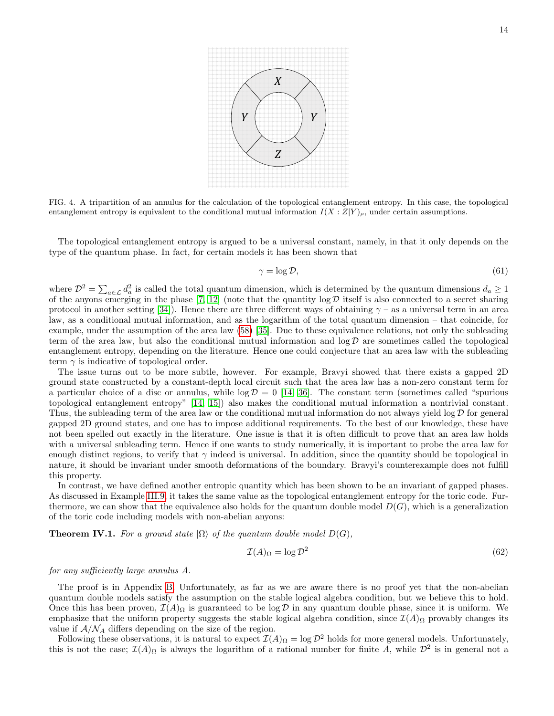

<span id="page-13-0"></span>FIG. 4. A tripartition of an annulus for the calculation of the topological entanglement entropy. In this case, the topological entanglement entropy is equivalent to the conditional mutual information  $I(X:Z|Y)_{\rho}$ , under certain assumptions.

The topological entanglement entropy is argued to be a universal constant, namely, in that it only depends on the type of the quantum phase. In fact, for certain models it has been shown that

$$
\gamma = \log \mathcal{D},\tag{61}
$$

where  $\mathcal{D}^2 = \sum_{a \in \mathcal{L}} d_a^2$  is called the total quantum dimension, which is determined by the quantum dimensions  $d_a \ge 1$ of the anyons emerging in the phase [\[7,](#page-25-3) [12\]](#page-25-7) (note that the quantity  $\log \mathcal{D}$  itself is also connected to a secret sharing protocol in another setting [\[34\]](#page-25-29)). Hence there are three different ways of obtaining  $\gamma$  – as a universal term in an area law, as a conditional mutual information, and as the logarithm of the total quantum dimension – that coincide, for example, under the assumption of the area law [\(58\)](#page-12-1) [\[35\]](#page-25-30). Due to these equivalence relations, not only the subleading term of the area law, but also the conditional mutual information and  $\log \mathcal{D}$  are sometimes called the topological entanglement entropy, depending on the literature. Hence one could conjecture that an area law with the subleading term  $\gamma$  is indicative of topological order.

The issue turns out to be more subtle, however. For example, Bravyi showed that there exists a gapped 2D ground state constructed by a constant-depth local circuit such that the area law has a non-zero constant term for a particular choice of a disc or annulus, while  $\log \mathcal{D} = 0$  [\[14,](#page-25-9) [36\]](#page-25-31). The constant term (sometimes called "spurious topological entanglement entropy" [\[14,](#page-25-9) [15\]](#page-25-10)) also makes the conditional mutual information a nontrivial constant. Thus, the subleading term of the area law or the conditional mutual information do not always yield  $\log \mathcal{D}$  for general gapped 2D ground states, and one has to impose additional requirements. To the best of our knowledge, these have not been spelled out exactly in the literature. One issue is that it is often difficult to prove that an area law holds with a universal subleading term. Hence if one wants to study numerically, it is important to probe the area law for enough distinct regions, to verify that  $\gamma$  indeed is universal. In addition, since the quantity should be topological in nature, it should be invariant under smooth deformations of the boundary. Bravyi's counterexample does not fulfill this property.

In contrast, we have defined another entropic quantity which has been shown to be an invariant of gapped phases. As discussed in Example [III.9,](#page-11-3) it takes the same value as the topological entanglement entropy for the toric code. Furthermore, we can show that the equivalence also holds for the quantum double model  $D(G)$ , which is a generalization of the toric code including models with non-abelian anyons:

<span id="page-13-1"></span>**Theorem IV.1.** For a ground state  $|\Omega\rangle$  of the quantum double model  $D(G)$ ,

$$
\mathcal{I}(A)_{\Omega} = \log \mathcal{D}^2 \tag{62}
$$

for any sufficiently large annulus A.

The proof is in Appendix [B.](#page-18-0) Unfortunately, as far as we are aware there is no proof yet that the non-abelian quantum double models satisfy the assumption on the stable logical algebra condition, but we believe this to hold. Once this has been proven,  $\mathcal{I}(A)_{\Omega}$  is guaranteed to be log D in any quantum double phase, since it is uniform. We emphasize that the uniform property suggests the stable logical algebra condition, since  $\mathcal{I}(A)_{\Omega}$  provably changes its value if  $A/N_A$  differs depending on the size of the region.

Following these observations, it is natural to expect  $\mathcal{I}(A)_{\Omega} = \log \mathcal{D}^2$  holds for more general models. Unfortunately, this is not the case;  $\mathcal{I}(A)_{\Omega}$  is always the logarithm of a rational number for finite A, while  $\mathcal{D}^2$  is in general not a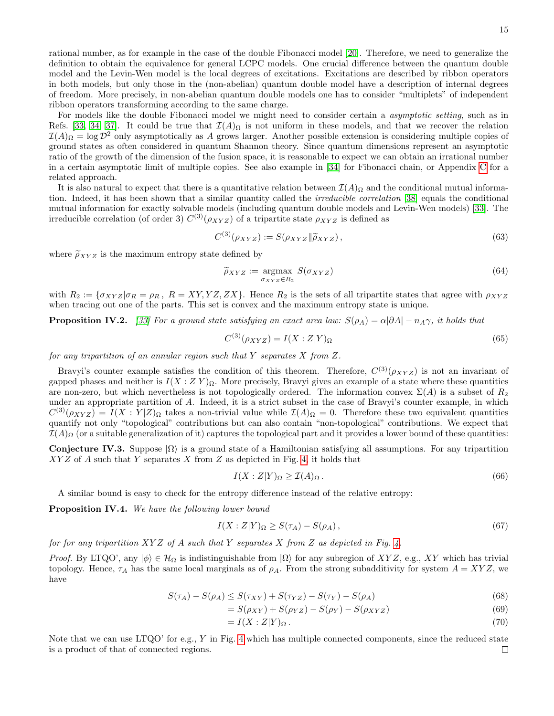rational number, as for example in the case of the double Fibonacci model [\[20\]](#page-25-15). Therefore, we need to generalize the definition to obtain the equivalence for general LCPC models. One crucial difference between the quantum double model and the Levin-Wen model is the local degrees of excitations. Excitations are described by ribbon operators in both models, but only those in the (non-abelian) quantum double model have a description of internal degrees of freedom. More precisely, in non-abelian quantum double models one has to consider "multiplets" of independent ribbon operators transforming according to the same charge.

For models like the double Fibonacci model we might need to consider certain a *asymptotic setting*, such as in Refs. [\[33,](#page-25-28) [34,](#page-25-29) [37\]](#page-25-32). It could be true that  $\mathcal{I}(A)_{\Omega}$  is not uniform in these models, and that we recover the relation  $\mathcal{I}(A)_{\Omega} = \log \mathcal{D}^2$  only asymptotically as A grows larger. Another possible extension is considering multiple copies of ground states as often considered in quantum Shannon theory. Since quantum dimensions represent an asymptotic ratio of the growth of the dimension of the fusion space, it is reasonable to expect we can obtain an irrational number in a certain asymptotic limit of multiple copies. See also example in [\[34\]](#page-25-29) for Fibonacci chain, or Appendix [C](#page-22-0) for a related approach.

It is also natural to expect that there is a quantitative relation between  $\mathcal{I}(A)_{\Omega}$  and the conditional mutual information. Indeed, it has been shown that a similar quantity called the *irreducible correlation* [\[38\]](#page-26-0) equals the conditional mutual information for exactly solvable models (including quantum double models and Levin-Wen models) [\[33\]](#page-25-28). The irreducible correlation (of order 3)  $C^{(3)}(\rho_{XYZ})$  of a tripartite state  $\rho_{XYZ}$  is defined as

$$
C^{(3)}(\rho_{XYZ}) := S(\rho_{XYZ} || \widetilde{\rho}_{XYZ}), \qquad (63)
$$

where  $\tilde{\rho}_{XYZ}$  is the maximum entropy state defined by

$$
\widetilde{\rho}_{XYZ} := \underset{\sigma_{XYZ} \in R_2}{\text{argmax}} S(\sigma_{XYZ}) \tag{64}
$$

with  $R_2 := \{\sigma_{XYZ} | \sigma_R = \rho_R, R = XY, YZ, ZX\}$ . Hence  $R_2$  is the sets of all tripartite states that agree with  $\rho_{XYZ}$ when tracing out one of the parts. This set is convex and the maximum entropy state is unique.

**Proposition IV.2.** [\[33\]](#page-25-28) For a ground state satisfying an exact area law:  $S(\rho_A) = \alpha |\partial A| - n_A \gamma$ , it holds that

$$
C^{(3)}(\rho_{XYZ}) = I(X:Z|Y)_{\Omega}
$$
\n
$$
(65)
$$

for any tripartition of an annular region such that Y separates X from Z.

Bravyi's counter example satisfies the condition of this theorem. Therefore,  $C^{(3)}(\rho_{XYZ})$  is not an invariant of gapped phases and neither is  $I(X:Z|Y)_{\Omega}$ . More precisely, Bravyi gives an example of a state where these quantities are non-zero, but which nevertheless is not topologically ordered. The information convex  $\Sigma(A)$  is a subset of  $R_2$ under an appropriate partition of A. Indeed, it is a strict subset in the case of Bravyi's counter example, in which  $C^{(3)}(\rho_{XYZ}) = I(X:Y|Z)_{\Omega}$  takes a non-trivial value while  $\mathcal{I}(A)_{\Omega} = 0$ . Therefore these two equivalent quantities quantify not only "topological" contributions but can also contain "non-topological" contributions. We expect that  $\mathcal{I}(A)_{\Omega}$  (or a suitable generalization of it) captures the topological part and it provides a lower bound of these quantities:

<span id="page-14-0"></span>Conjecture IV.3. Suppose  $|\Omega\rangle$  is a ground state of a Hamiltonian satisfying all assumptions. For any tripartition  $XYZ$  of A such that Y separates X from Z as depicted in Fig. [4,](#page-13-0) it holds that

$$
I(X:Z|Y)_{\Omega} \ge \mathcal{I}(A)_{\Omega} \,. \tag{66}
$$

A similar bound is easy to check for the entropy difference instead of the relative entropy:

Proposition IV.4. We have the following lower bound

$$
I(X:Z|Y)_{\Omega} \ge S(\tau_A) - S(\rho_A),\tag{67}
$$

for for any tripartition  $XYZ$  of A such that Y separates X from Z as depicted in Fig. [4.](#page-13-0)

Proof. By LTQO', any  $|\phi\rangle \in \mathcal{H}_{\Omega}$  is indistinguishable from  $|\Omega\rangle$  for any subregion of XYZ, e.g., XY which has trivial topology. Hence,  $\tau_A$  has the same local marginals as of  $\rho_A$ . From the strong subadditivity for system  $A = XYZ$ , we have

$$
S(\tau_A) - S(\rho_A) \le S(\tau_{XY}) + S(\tau_{YZ}) - S(\tau_Y) - S(\rho_A)
$$
\n(68)

$$
=S(\rho_{XY})+S(\rho_{YZ})-S(\rho_Y)-S(\rho_{XYZ})
$$
\n(69)

$$
= I(X:Z|Y)_{\Omega}.
$$
\n<sup>(70)</sup>

Note that we can use LTQO' for e.g., Y in Fig. [4](#page-13-0) which has multiple connected components, since the reduced state is a product of that of connected regions. $\Box$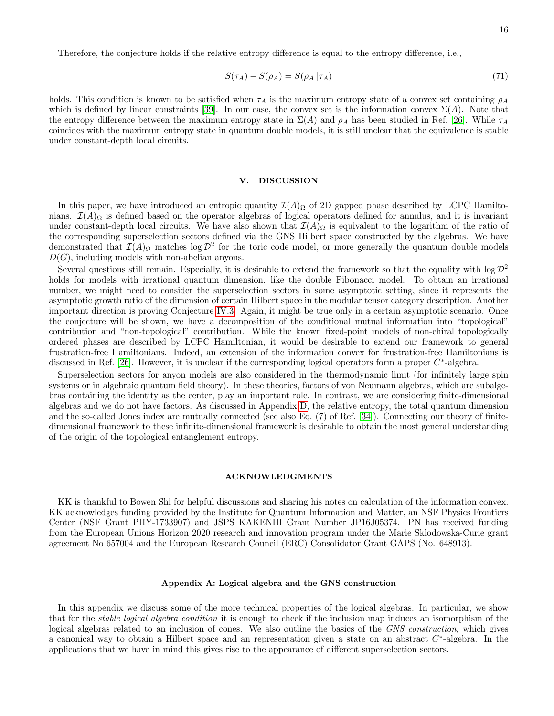Therefore, the conjecture holds if the relative entropy difference is equal to the entropy difference, i.e.,

$$
S(\tau_A) - S(\rho_A) = S(\rho_A \| \tau_A)
$$
\n<sup>(71)</sup>

holds. This condition is known to be satisfied when  $\tau_A$  is the maximum entropy state of a convex set containing  $\rho_A$ which is defined by linear constraints [\[39\]](#page-26-1). In our case, the convex set is the information convex  $\Sigma(A)$ . Note that the entropy difference between the maximum entropy state in  $\Sigma(A)$  and  $\rho_A$  has been studied in Ref. [\[26\]](#page-25-21). While  $\tau_A$ coincides with the maximum entropy state in quantum double models, it is still unclear that the equivalence is stable under constant-depth local circuits.

### V. DISCUSSION

In this paper, we have introduced an entropic quantity  $\mathcal{I}(A)_{\Omega}$  of 2D gapped phase described by LCPC Hamiltonians.  $\mathcal{I}(A)_{\Omega}$  is defined based on the operator algebras of logical operators defined for annulus, and it is invariant under constant-depth local circuits. We have also shown that  $\mathcal{I}(A)_{\Omega}$  is equivalent to the logarithm of the ratio of the corresponding superselection sectors defined via the GNS Hilbert space constructed by the algebras. We have demonstrated that  $\mathcal{I}(A)_{\Omega}$  matches log  $\mathcal{D}^2$  for the toric code model, or more generally the quantum double models  $D(G)$ , including models with non-abelian anyons.

Several questions still remain. Especially, it is desirable to extend the framework so that the equality with  $\log D^2$ holds for models with irrational quantum dimension, like the double Fibonacci model. To obtain an irrational number, we might need to consider the superselection sectors in some asymptotic setting, since it represents the asymptotic growth ratio of the dimension of certain Hilbert space in the modular tensor category description. Another important direction is proving Conjecture [IV.3.](#page-14-0) Again, it might be true only in a certain asymptotic scenario. Once the conjecture will be shown, we have a decomposition of the conditional mutual information into "topological" contribution and "non-topological" contribution. While the known fixed-point models of non-chiral topologically ordered phases are described by LCPC Hamiltonian, it would be desirable to extend our framework to general frustration-free Hamiltonians. Indeed, an extension of the information convex for frustration-free Hamiltonians is discussed in Ref. [\[26\]](#page-25-21). However, it is unclear if the corresponding logical operators form a proper  $C^*$ -algebra.

Superselection sectors for anyon models are also considered in the thermodynamic limit (for infinitely large spin systems or in algebraic quantum field theory). In these theories, factors of von Neumann algebras, which are subalgebras containing the identity as the center, play an important role. In contrast, we are considering finite-dimensional algebras and we do not have factors. As discussed in Appendix [D,](#page-23-0) the relative entropy, the total quantum dimension and the so-called Jones index are mutually connected (see also Eq. (7) of Ref. [\[34\]](#page-25-29)). Connecting our theory of finitedimensional framework to these infinite-dimensional framework is desirable to obtain the most general understanding of the origin of the topological entanglement entropy.

### ACKNOWLEDGMENTS

KK is thankful to Bowen Shi for helpful discussions and sharing his notes on calculation of the information convex. KK acknowledges funding provided by the Institute for Quantum Information and Matter, an NSF Physics Frontiers Center (NSF Grant PHY-1733907) and JSPS KAKENHI Grant Number JP16J05374. PN has received funding from the European Unions Horizon 2020 research and innovation program under the Marie Sklodowska-Curie grant agreement No 657004 and the European Research Council (ERC) Consolidator Grant GAPS (No. 648913).

#### <span id="page-15-0"></span>Appendix A: Logical algebra and the GNS construction

In this appendix we discuss some of the more technical properties of the logical algebras. In particular, we show that for the stable logical algebra condition it is enough to check if the inclusion map induces an isomorphism of the logical algebras related to an inclusion of cones. We also outline the basics of the GNS construction, which gives a canonical way to obtain a Hilbert space and an representation given a state on an abstract  $C^*$ -algebra. In the applications that we have in mind this gives rise to the appearance of different superselection sectors.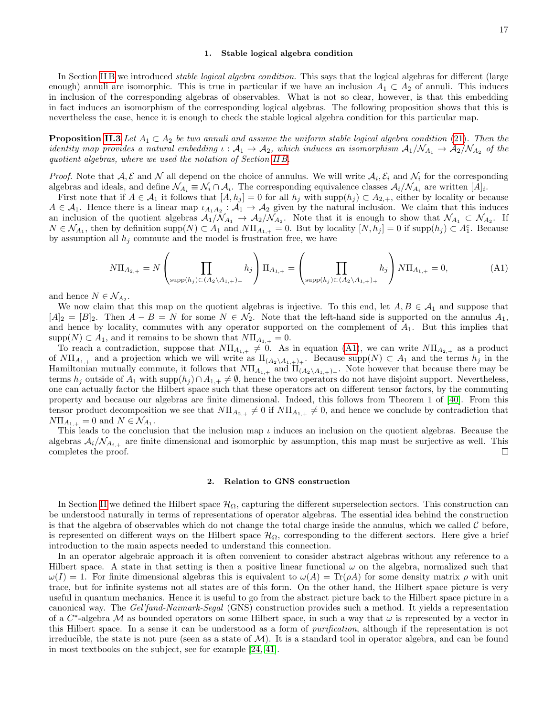#### 1. Stable logical algebra condition

In Section [II B](#page-4-1) we introduced *stable logical algebra condition*. This says that the logical algebras for different (large enough) annuli are isomorphic. This is true in particular if we have an inclusion  $A_1 \subset A_2$  of annuli. This induces in inclusion of the corresponding algebras of observables. What is not so clear, however, is that this embedding in fact induces an isomorphism of the corresponding logical algebras. The following proposition shows that this is nevertheless the case, hence it is enough to check the stable logical algebra condition for this particular map.

**Proposition [II.3](#page-6-1)** Let  $A_1 \subset A_2$  be two annuli and assume the uniform stable logical algebra condition [\(21\)](#page-6-0). Then the identity map provides a natural embedding  $\iota: \mathcal{A}_1 \to \mathcal{A}_2$ , which induces an isomorphism  $\mathcal{A}_1/\mathcal{N}_{A_1} \to \mathcal{A}_2/\mathcal{N}_{A_2}$  of the quotient algebras, where we used the notation of Section [II B.](#page-4-1)

*Proof.* Note that  $A, E$  and  $N$  all depend on the choice of annulus. We will write  $A_i, E_i$  and  $N_i$  for the corresponding algebras and ideals, and define  $\mathcal{N}_{A_i} \equiv \mathcal{N}_i \cap \mathcal{A}_i$ . The corresponding equivalence classes  $\mathcal{A}_i/\mathcal{N}_{A_i}$  are written  $[A]_i$ .

First note that if  $A \in \mathcal{A}_1$  it follows that  $[A, h_j] = 0$  for all  $h_j$  with  $\text{supp}(h_j) \subset A_{2,+}$ , either by locality or because  $A \in \mathcal{A}_1$ . Hence there is a linear map  $\iota_{A_1A_2}$ :  $\mathcal{A}_1 \to \mathcal{A}_2$  given by the natural inclusion. We claim that this induces an inclusion of the quotient algebras  $A_1/N_{A_1} \to A_2/N_{A_2}$ . Note that it is enough to show that  $N_{A_1} \subset N_{A_2}$ . If  $N \in \mathcal{N}_{A_1}$ , then by definition supp $(N) \subset A_1$  and  $N\Pi_{A_{1,+}} = 0$ . But by locality  $[N, h_j] = 0$  if supp $(h_j) \subset A_1^c$ . Because by assumption all  $h_j$  commute and the model is frustration free, we have

<span id="page-16-0"></span>
$$
N\Pi_{A_{2,+}} = N \left( \prod_{\text{supp}(h_j) \subset (A_2 \setminus A_{1,+})_+} h_j \right) \Pi_{A_{1,+}} = \left( \prod_{\text{supp}(h_j) \subset (A_2 \setminus A_{1,+})_+} h_j \right) N\Pi_{A_{1,+}} = 0,
$$
\n(A1)

and hence  $N \in \mathcal{N}_{A_2}$ .

We now claim that this map on the quotient algebras is injective. To this end, let  $A, B \in \mathcal{A}_1$  and suppose that  $[A]_2 = [B]_2$ . Then  $A - B = N$  for some  $N \in \mathcal{N}_2$ . Note that the left-hand side is supported on the annulus  $A_1$ , and hence by locality, commutes with any operator supported on the complement of  $A_1$ . But this implies that  $\text{supp}(N) \subset A_1$ , and it remains to be shown that  $N\Pi_{A_{1,+}} = 0$ .

To reach a contradiction, suppose that  $N\Pi_{A_{1,+}} \neq 0$ . As in equation [\(A1\)](#page-16-0), we can write  $N\Pi_{A_{2,+}}$  as a product of  $N\Pi_{A_{1,+}}$  and a projection which we will write as  $\Pi_{(A_2\setminus A_{1,+})_+}$ . Because supp $(N) \subset A_1$  and the terms  $h_j$  in the Hamiltonian mutually commute, it follows that  $N\Pi_{A_{1,+}}$  and  $\Pi_{(A_2\setminus A_{1,+})_+}$ . Note however that because there may be terms  $h_j$  outside of  $A_1$  with supp $(h_j) \cap A_{1,+} \neq \emptyset$ , hence the two operators do not have disjoint support. Nevertheless, one can actually factor the Hilbert space such that these operators act on different tensor factors, by the commuting property and because our algebras are finite dimensional. Indeed, this follows from Theorem 1 of [\[40\]](#page-26-2). From this tensor product decomposition we see that  $N\Pi_{A_{2,+}} \neq 0$  if  $N\Pi_{A_{1,+}} \neq 0$ , and hence we conclude by contradiction that  $N\Pi_{A_{1,+}}=0$  and  $N \in \mathcal{N}_{A_1}$ .

This leads to the conclusion that the inclusion map  $\iota$  induces an inclusion on the quotient algebras. Because the algebras  $A_i/N_{A_{i,+}}$  are finite dimensional and isomorphic by assumption, this map must be surjective as well. This completes the proof.  $\Box$ 

#### 2. Relation to GNS construction

In Section [II](#page-1-0) we defined the Hilbert space  $\mathcal{H}_{\Omega}$ , capturing the different superselection sectors. This construction can be understood naturally in terms of representations of operator algebras. The essential idea behind the construction is that the algebra of observables which do not change the total charge inside the annulus, which we called  $\mathcal C$  before, is represented on different ways on the Hilbert space  $\mathcal{H}_{\Omega}$ , corresponding to the different sectors. Here give a brief introduction to the main aspects needed to understand this connection.

In an operator algebraic approach it is often convenient to consider abstract algebras without any reference to a Hilbert space. A state in that setting is then a positive linear functional  $\omega$  on the algebra, normalized such that  $\omega(I) = 1$ . For finite dimensional algebras this is equivalent to  $\omega(A) = \text{Tr}(\rho A)$  for some density matrix  $\rho$  with unit trace, but for infinite systems not all states are of this form. On the other hand, the Hilbert space picture is very useful in quantum mechanics. Hence it is useful to go from the abstract picture back to the Hilbert space picture in a canonical way. The Gel'fand-Naimark-Segal (GNS) construction provides such a method. It yields a representation of a  $C^*$ -algebra M as bounded operators on some Hilbert space, in such a way that  $\omega$  is represented by a vector in this Hilbert space. In a sense it can be understood as a form of purification, although if the representation is not irreducible, the state is not pure (seen as a state of  $\mathcal{M}$ ). It is a standard tool in operator algebra, and can be found in most textbooks on the subject, see for example [\[24,](#page-25-19) [41\]](#page-26-3).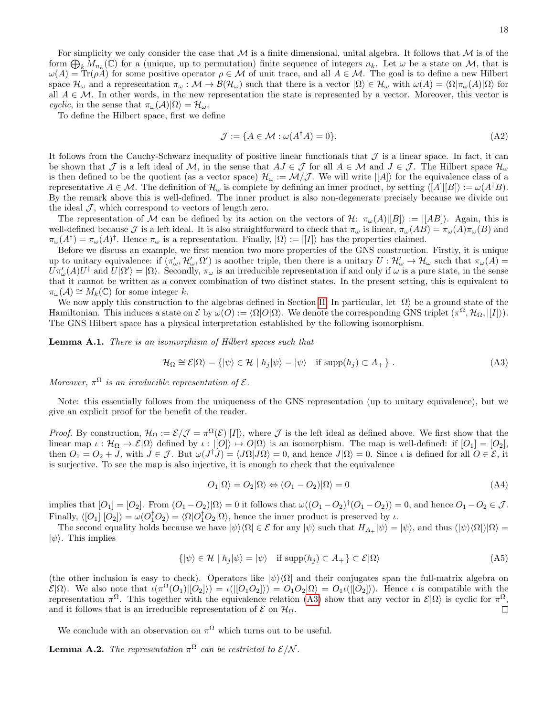For simplicity we only consider the case that  $M$  is a finite dimensional, unital algebra. It follows that  $M$  is of the form  $\bigoplus_k M_{n_k}(\mathbb{C})$  for a (unique, up to permutation) finite sequence of integers  $n_k$ . Let  $\omega$  be a state on M, that is  $\omega(A) = \text{Tr}(\rho A)$  for some positive operator  $\rho \in \mathcal{M}$  of unit trace, and all  $A \in \mathcal{M}$ . The goal is to define a new Hilbert space  $\mathcal{H}_{\omega}$  and a representation  $\pi_{\omega}: \mathcal{M} \to \mathcal{B}(\mathcal{H}_{\omega})$  such that there is a vector  $|\Omega\rangle \in \mathcal{H}_{\omega}$  with  $\omega(A) = \langle \Omega | \pi_{\omega}(A) | \Omega \rangle$  for all  $A \in \mathcal{M}$ . In other words, in the new representation the state is represented by a vector. Moreover, this vector is cyclic, in the sense that  $\pi_{\omega}(\mathcal{A})|\Omega\rangle = \mathcal{H}_{\omega}$ .

To define the Hilbert space, first we define

$$
\mathcal{J} := \{ A \in \mathcal{M} : \omega(A^{\dagger} A) = 0 \}.
$$
 (A2)

It follows from the Cauchy-Schwarz inequality of positive linear functionals that  $\mathcal J$  is a linear space. In fact, it can be shown that J is a left ideal of M, in the sense that  $AJ \in \mathcal{J}$  for all  $A \in \mathcal{M}$  and  $J \in \mathcal{J}$ . The Hilbert space  $\mathcal{H}_{\omega}$ is then defined to be the quotient (as a vector space)  $\mathcal{H}_{\omega} := \mathcal{M}/\mathcal{J}$ . We will write  $\vert A \vert$  for the equivalence class of a representative  $A \in \mathcal{M}$ . The definition of  $\mathcal{H}_{\omega}$  is complete by defining an inner product, by setting  $\langle [A] | [B] \rangle := \omega(A^{\dagger}B)$ . By the remark above this is well-defined. The inner product is also non-degenerate precisely because we divide out the ideal  $J$ , which correspond to vectors of length zero.

The representation of M can be defined by its action on the vectors of H:  $\pi_{\omega}(A)||B|\rangle := ||AB|\rangle$ . Again, this is well-defined because J is a left ideal. It is also straightforward to check that  $\pi_{\omega}$  is linear,  $\pi_{\omega}(AB) = \pi_{\omega}(A)\pi_{\omega}(B)$  and  $\pi_{\omega}(A^{\dagger}) = \pi_{\omega}(A)^{\dagger}$ . Hence  $\pi_{\omega}$  is a representation. Finally,  $|\Omega\rangle := |[I]\rangle$  has the properties claimed.

Before we discuss an example, we first mention two more properties of the GNS construction. Firstly, it is unique up to unitary equivalence: if  $(\pi'_\omega, \mathcal{H}'_\omega, \Omega')$  is another triple, then there is a unitary  $U : \mathcal{H}'_\omega \to \mathcal{H}_\omega$  such that  $\pi_\omega(A)$  $\overline{U}\pi'_{\omega}(A)U^{\dagger}$  and  $\overline{U}|\Omega'\rangle=|\Omega\rangle$ . Secondly,  $\pi_{\omega}$  is an irreducible representation if and only if  $\omega$  is a pure state, in the sense that it cannot be written as a convex combination of two distinct states. In the present setting, this is equivalent to  $\pi_{\omega}(\mathcal{A}) \cong M_k(\mathbb{C})$  for some integer k.

We now apply this construction to the algebras defined in Section [II.](#page-1-0) In particular, let  $|\Omega\rangle$  be a ground state of the Hamiltonian. This induces a state on  $\mathcal E$  by  $\omega(O) := \langle \Omega| O |\Omega \rangle$ . We denote the corresponding GNS triplet  $(\pi^{\Omega}, \mathcal{H}_{\Omega}, |[I])$ . The GNS Hilbert space has a physical interpretation established by the following isomorphism.

<span id="page-17-1"></span>Lemma A.1. There is an isomorphism of Hilbert spaces such that

<span id="page-17-2"></span>
$$
\mathcal{H}_{\Omega} \cong \mathcal{E}|\Omega\rangle = \{ |\psi\rangle \in \mathcal{H} \mid h_j|\psi\rangle = |\psi\rangle \quad \text{if } \text{supp}(h_j) \subset A_+ \} \,. \tag{A3}
$$

Moreover,  $\pi^{\Omega}$  is an irreducible representation of  $\mathcal{E}.$ 

Note: this essentially follows from the uniqueness of the GNS representation (up to unitary equivalence), but we give an explicit proof for the benefit of the reader.

*Proof.* By construction,  $\mathcal{H}_{\Omega} := \mathcal{E}/\mathcal{J} = \pi^{\Omega}(\mathcal{E})[[I])$ , where  $\mathcal{J}$  is the left ideal as defined above. We first show that the linear map  $\iota : \mathcal{H}_{\Omega} \to \mathcal{E}|\Omega\rangle$  defined by  $\iota : |[O]\rangle \mapsto O|\Omega\rangle$  is an isomorphism. The map is well-defined: if  $[O_1] = [O_2]$ , then  $O_1 = O_2 + J$ , with  $J \in \mathcal{J}$ . But  $\omega(J^{\dagger}J) = \langle J\Omega | J\Omega \rangle = 0$ , and hence  $J|\Omega \rangle = 0$ . Since  $\iota$  is defined for all  $O \in \mathcal{E}$ , it is surjective. To see the map is also injective, it is enough to check that the equivalence

$$
O_1|\Omega\rangle = O_2|\Omega\rangle \Leftrightarrow (O_1 - O_2)|\Omega\rangle = 0
$$
\n(A4)

implies that  $[O_1] = [O_2]$ . From  $(O_1 - O_2)|\Omega\rangle = 0$  it follows that  $\omega((O_1 - O_2)^{\dagger}(O_1 - O_2)) = 0$ , and hence  $O_1 - O_2 \in \mathcal{J}$ . Finally,  $\langle [O_1] | [O_2] \rangle = \omega(O_1^{\dagger} O_2) = \langle \Omega | O_1^{\dagger} O_2 | \Omega \rangle$ , hence the inner product is preserved by *ι*.

The second equality holds because we have  $|\psi\rangle\langle\Omega|\in\mathcal{E}$  for any  $|\psi\rangle$  such that  $H_{A_+}|\psi\rangle=|\psi\rangle$ , and thus  $(|\psi\rangle\langle\Omega|)|\Omega\rangle=$  $|\psi\rangle$ . This implies

$$
\{ |\psi\rangle \in \mathcal{H} \mid h_j |\psi\rangle = |\psi\rangle \quad \text{if } \text{supp}(h_j) \subset A_+ \} \subset \mathcal{E}|\Omega\rangle \tag{A5}
$$

(the other inclusion is easy to check). Operators like  $|\psi\rangle\langle\Omega|$  and their conjugates span the full-matrix algebra on  $\mathcal{E}|\Omega\rangle$ . We also note that  $\iota(\pi^{\Omega}(O_1) | [O_2]) = \iota(|[O_1 O_2]) = O_1 O_2 |\Omega\rangle = O_1 \iota(|[O_2])$ . Hence  $\iota$  is compatible with the representation  $\pi^{\Omega}$ . This together with the equivalence relation [\(A3\)](#page-17-2) show that any vector in  $\mathcal{E}|\Omega\rangle$  is cyclic for  $\pi^{\Omega}$ , and it follows that is an irreducible representation of  $\mathcal E$  on  $\mathcal H_{\Omega}$ .  $\Box$ 

We conclude with an observation on  $\pi^{\Omega}$  which turns out to be useful.

<span id="page-17-0"></span>**Lemma A.2.** The representation  $\pi^{\Omega}$  can be restricted to  $\mathcal{E}/\mathcal{N}$ .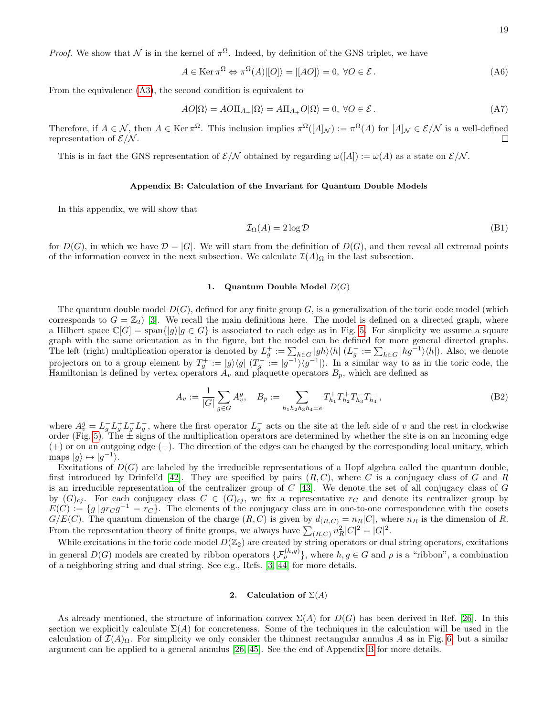*Proof.* We show that  $\mathcal N$  is in the kernel of  $\pi^{\Omega}$ . Indeed, by definition of the GNS triplet, we have

$$
A \in \text{Ker}\,\pi^{\Omega} \Leftrightarrow \pi^{\Omega}(A)|[O]\rangle = |[AO]\rangle = 0, \,\forall O \in \mathcal{E} \,.
$$

From the equivalence [\(A3\)](#page-17-2), the second condition is equivalent to

$$
AO|\Omega\rangle = AO\Pi_{A_+}|\Omega\rangle = A\Pi_{A_+}O|\Omega\rangle = 0, \,\forall O \in \mathcal{E} \,.
$$

Therefore, if  $A \in \mathcal{N}$ , then  $A \in \text{Ker } \pi^{\Omega}$ . This inclusion implies  $\pi^{\Omega}([A]_{\mathcal{N}}) := \pi^{\Omega}(A)$  for  $[A]_{\mathcal{N}} \in \mathcal{E}/\mathcal{N}$  is a well-defined representation of  $\mathcal{E}/\mathcal{N}$ .  $\Box$ 

This is in fact the GNS representation of  $\mathcal{E}/\mathcal{N}$  obtained by regarding  $\omega([A]) := \omega(A)$  as a state on  $\mathcal{E}/\mathcal{N}$ .

#### <span id="page-18-0"></span>Appendix B: Calculation of the Invariant for Quantum Double Models

In this appendix, we will show that

$$
\mathcal{I}_{\Omega}(A) = 2\log \mathcal{D} \tag{B1}
$$

for  $D(G)$ , in which we have  $\mathcal{D} = |G|$ . We will start from the definition of  $D(G)$ , and then reveal all extremal points of the information convex in the next subsection. We calculate  $\mathcal{I}(A)_{\Omega}$  in the last subsection.

#### 1. Quantum Double Model  $D(G)$

The quantum double model  $D(G)$ , defined for any finite group G, is a generalization of the toric code model (which corresponds to  $G = \mathbb{Z}_2$  [\[3\]](#page-24-2). We recall the main definitions here. The model is defined on a directed graph, where a Hilbert space  $\mathbb{C}[G] = \text{span}\{|g\rangle|g \in G\}$  is associated to each edge as in Fig. [5.](#page-19-0) For simplicity we assume a square graph with the same orientation as in the figure, but the model can be defined for more general directed graphs. The left (right) multiplication operator is denoted by  $L_g^+ := \sum_{h \in G} |gh\rangle\langle h| (L_g^- := \sum_{h \in G} |hg^{-1}\rangle\langle h|)$ . Also, we denote projectors on to a group element by  $T_g^+ := |g\rangle\langle g|$   $(T_g^- := |g^{-1}\rangle\langle g^{-1}|)$ . In a similar way to as in the toric code, the Hamiltonian is defined by vertex operators  $A_v$  and plaquette operators  $B_p$ , which are defined as

$$
A_v := \frac{1}{|G|} \sum_{g \in G} A_v^g, \quad B_p := \sum_{h_1 h_2 h_3 h_4 = e} T_{h_1}^+ T_{h_2}^+ T_{h_3}^- T_{h_4}^-, \tag{B2}
$$

where  $A_y^g = L_g^- L_g^+ L_g^+ L_g^-$ , where the first operator  $L_g^-$  acts on the site at the left side of v and the rest in clockwise order (Fig. [5\)](#page-19-0). The  $\pm$  signs of the multiplication operators are determined by whether the site is on an incoming edge (+) or on an outgoing edge (−). The direction of the edges can be changed by the corresponding local unitary, which maps  $|g\rangle \mapsto |g^{-1}\rangle$ .

Excitations of  $D(G)$  are labeled by the irreducible representations of a Hopf algebra called the quantum double, first introduced by Drinfel'd [\[42\]](#page-26-4). They are specified by pairs  $(R, C)$ , where C is a conjugacy class of G and R is an irreducible representation of the centralizer group of  $C$  [\[43\]](#page-26-5). We denote the set of all conjugacy class of  $G$ by  $(G)_{cj}$ . For each conjugacy class  $C \in (G)_{cj}$ , we fix a representative  $r_C$  and denote its centralizer group by  $E(C) := \{g | gr_C g^{-1} = r_C\}.$  The elements of the conjugacy class are in one-to-one correspondence with the cosets  $G/E(C)$ . The quantum dimension of the charge  $(R, C)$  is given by  $d_{(R,C)} = n_R |C|$ , where  $n_R$  is the dimension of R. From the representation theory of finite groups, we always have  $\sum_{(R,C)} n_R^2 |C|^2 = |G|^2$ .

While excitations in the toric code model  $D(\mathbb{Z}_2)$  are created by string operators or dual string operators, excitations in general  $D(G)$  models are created by ribbon operators  $\{\mathcal{F}_{\rho}^{(h,g)}\}$ , where  $h, g \in G$  and  $\rho$  is a "ribbon", a combination of a neighboring string and dual string. See e.g., Refs. [\[3,](#page-24-2) [44\]](#page-26-6) for more details.

### 2. Calculation of  $\Sigma(A)$

As already mentioned, the structure of information convex  $\Sigma(A)$  for  $D(G)$  has been derived in Ref. [\[26\]](#page-25-21). In this section we explicitly calculate  $\Sigma(A)$  for concreteness. Some of the techniques in the calculation will be used in the calculation of  $\mathcal{I}(A)_{\Omega}$ . For simplicity we only consider the thinnest rectangular annulus A as in Fig. [6,](#page-19-1) but a similar argument can be applied to a general annulus [\[26,](#page-25-21) [45\]](#page-26-7). See the end of Appendix [B](#page-18-0) for more details.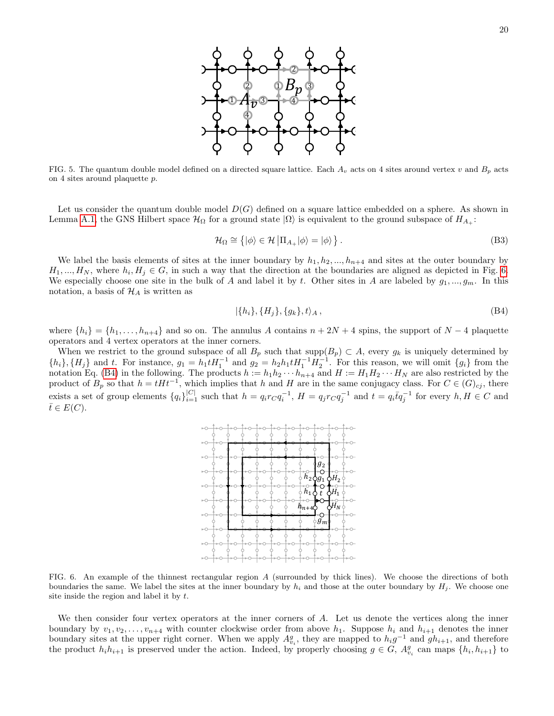

<span id="page-19-0"></span>FIG. 5. The quantum double model defined on a directed square lattice. Each  $A_v$  acts on 4 sites around vertex v and  $B_p$  acts on 4 sites around plaquette p.

Let us consider the quantum double model  $D(G)$  defined on a square lattice embedded on a sphere. As shown in Lemma [A.1,](#page-17-1) the GNS Hilbert space  $\mathcal{H}_{\Omega}$  for a ground state  $|\Omega\rangle$  is equivalent to the ground subspace of  $H_{A_+}$ :

$$
\mathcal{H}_{\Omega} \cong \{ |\phi\rangle \in \mathcal{H} \left| \Pi_{A_+} |\phi\rangle = |\phi\rangle \right\}.
$$
 (B3)

We label the basis elements of sites at the inner boundary by  $h_1, h_2, ..., h_{n+4}$  and sites at the outer boundary by  $H_1, ..., H_N$ , where  $h_i, H_j \in G$ , in such a way that the direction at the boundaries are aligned as depicted in Fig. [6.](#page-19-1) We especially choose one site in the bulk of A and label it by t. Other sites in A are labeled by  $g_1, ..., g_m$ . In this notation, a basis of  $\mathcal{H}_A$  is written as

<span id="page-19-2"></span>
$$
|\{h_i\}, \{H_j\}, \{g_k\}, t\rangle_A, \tag{B4}
$$

where  $\{h_i\} = \{h_1, \ldots, h_{n+4}\}\$  and so on. The annulus A contains  $n + 2N + 4$  spins, the support of  $N - 4$  plaquette operators and 4 vertex operators at the inner corners.

When we restrict to the ground subspace of all  $B_p$  such that supp $(B_p) \subset A$ , every  $g_k$  is uniquely determined by  $\{h_i\}$ ,  $\{H_j\}$  and t. For instance,  $g_1 = h_1 t H_1^{-1}$  and  $g_2 = h_2 h_1 t H_1^{-1} H_2^{-1}$ . For this reason, we will omit  $\{g_i\}$  from the notation Eq. [\(B4\)](#page-19-2) in the following. The products  $h := h_1 h_2 \cdots h_{n+4}$  and  $H := H_1 H_2 \cdots H_N$  are also restricted by the product of  $B_p$  so that  $h = tHt^{-1}$ , which implies that h and H are in the same conjugacy class. For  $C \in (G)_{cj}$ , there exists a set of group elements  ${q_i}_{i=1}^{|C|}$  such that  $h = q_i r_C q_i^{-1}$ ,  $H = q_j r_C q_j^{-1}$  and  $t = q_i \overline{t} q_j^{-1}$  for every  $h, H \in C$  and  $\bar{t} \in E(C).$ 



<span id="page-19-1"></span>FIG. 6. An example of the thinnest rectangular region A (surrounded by thick lines). We choose the directions of both boundaries the same. We label the sites at the inner boundary by  $h_i$  and those at the outer boundary by  $H_i$ . We choose one site inside the region and label it by  $t$ .

We then consider four vertex operators at the inner corners of A. Let us denote the vertices along the inner boundary by  $v_1, v_2, \ldots, v_{n+4}$  with counter clockwise order from above  $h_1$ . Suppose  $h_i$  and  $h_{i+1}$  denotes the inner boundary sites at the upper right corner. When we apply  $A_{v_i}^g$ , they are mapped to  $h_i g^{-1}$  and  $gh_{i+1}$ , and therefore the product  $h_i h_{i+1}$  is preserved under the action. Indeed, by properly choosing  $g \in G$ ,  $A_{v_i}^g$  can maps  $\{h_i, h_{i+1}\}$  to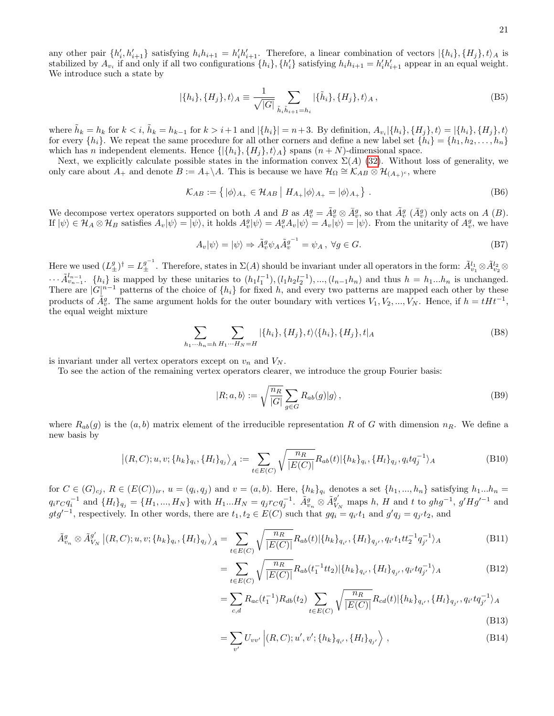any other pair  $\{h'_i, h'_{i+1}\}$  satisfying  $h_i h_{i+1} = h'_i h'_{i+1}$ . Therefore, a linear combination of vectors  $|\{h_i\}, \{H_j\}, t\rangle_A$  is stabilized by  $A_{v_i}$  if and only if all two configurations  $\{h_i\}, \{h'_i\}$  satisfying  $h_i h_{i+1} = h'_i h'_{i+1}$  appear in an equal weight. We introduce such a state by

$$
|\{h_i\}, \{H_j\}, t\rangle_A \equiv \frac{1}{\sqrt{|G|}} \sum_{\tilde{h}_i \tilde{h}_{i+1} = h_i} |\{\tilde{h}_i\}, \{H_j\}, t\rangle_A ,
$$
 (B5)

where  $\tilde{h}_k = h_k$  for  $k < i$ ,  $\tilde{h}_k = h_{k-1}$  for  $k > i+1$  and  $|\{h_i\}| = n+3$ . By definition,  $A_{v_i}|\{h_i\}, \{H_j\}, t\rangle = |\{h_i\}, \{H_j\}, t\rangle$ for every  $\{h_i\}$ . We repeat the same procedure for all other corners and define a new label set  $\{h_i\} = \{h_1, h_2, \ldots, h_n\}$ which has n independent elements. Hence  $\{|\{h_i\}, \{H_i\}, t\rangle_A\}$  spans  $(n+N)$ -dimensional space.

Next, we explicitly calculate possible states in the information convex  $\Sigma(A)$  [\(32\)](#page-9-1). Without loss of generality, we only care about  $A_+$  and denote  $B := A_+\backslash A$ . This is because we have  $\mathcal{H}_{\Omega} \cong \mathcal{K}_{AB} \otimes \mathcal{H}_{(A_+)^c}$ , where

$$
\mathcal{K}_{AB} := \left\{ |\phi\rangle_{A_+} \in \mathcal{H}_{AB} \middle| H_{A_+} |\phi\rangle_{A_+} = |\phi\rangle_{A_+} \right\}.
$$
 (B6)

We decompose vertex operators supported on both A and B as  $A_y^g = \tilde{A}_y^g \otimes \bar{A}_y^g$ , so that  $\tilde{A}_v^g$  ( $\bar{A}_v^g$ ) only acts on A (B). If  $|\psi\rangle \in \mathcal{H}_A \otimes \mathcal{H}_B$  satisfies  $A_v|\psi\rangle = |\psi\rangle$ , it holds  $A_v^g|\psi\rangle = A_v^g A_v|\psi\rangle = A_v|\psi\rangle = |\psi\rangle$ . From the unitarity of  $A_v^g$ , we have

$$
A_v|\psi\rangle = |\psi\rangle \Rightarrow \tilde{A}_v^g \psi_A \tilde{A}_v^{g^{-1}} = \psi_A, \ \forall g \in G. \tag{B7}
$$

Here we used  $(L_{\pm}^{g})^{\dagger} = L_{\pm}^{g^{-1}}$ . Therefore, states in  $\Sigma(A)$  should be invariant under all operators in the form:  $\tilde{A}_{v_1}^{l_1} \otimes \tilde{A}_{v_2}^{l_2} \otimes$  $\cdots \tilde{A}_{v_{n-1}}^{l_{n-1}}$ .  $\{h_i\}$  is mapped by these unitaries to  $(h_1l_1^{-1}), (l_1h_2l_2^{-1}), ..., (l_{n-1}h_n)$  and thus  $h = h_1...h_n$  is unchanged. There are  $|G|^{n-1}$  patterns of the choice of  $\{h_i\}$  for fixed h, and every two patterns are mapped each other by these products of  $\tilde{A}_{v}^{g}$ . The same argument holds for the outer boundary with vertices  $V_1, V_2, ..., V_N$ . Hence, if  $h = tHt^{-1}$ , the equal weight mixture

<span id="page-20-0"></span>
$$
\sum_{h_1\cdots h_n=h} \sum_{H_1\cdots H_N=H} |\{h_i\}, \{H_j\}, t\rangle \langle \{h_i\}, \{H_j\}, t|_A
$$
 (B8)

is invariant under all vertex operators except on  $v_n$  and  $V_N$ .

To see the action of the remaining vertex operators clearer, we introduce the group Fourier basis:

$$
|R; a, b\rangle := \sqrt{\frac{n_R}{|G|}} \sum_{g \in G} R_{ab}(g)|g\rangle, \qquad (B9)
$$

where  $R_{ab}(q)$  is the  $(a, b)$  matrix element of the irreducible representation R of G with dimension  $n_R$ . We define a new basis by

<span id="page-20-1"></span>
$$
|(R,C);u,v;\{h_k\}_{q_i},\{H_l\}_{q_j}\rangle_A := \sum_{t \in E(C)} \sqrt{\frac{n_R}{|E(C)|}} R_{ab}(t) |\{h_k\}_{q_i},\{H_l\}_{q_j},q_i t q_j^{-1}\rangle_A
$$
(B10)

for  $C \in (G)_{cj}$ ,  $R \in (E(C))_{ir}$ ,  $u = (q_i, q_j)$  and  $v = (a, b)$ . Here,  $\{h_k\}_{q_i}$  denotes a set  $\{h_1, ..., h_n\}$  satisfying  $h_1...h_n =$  $q_i r_C q_i^{-1}$  and  $\{H_l\}_{q_j} = \{H_1, ..., H_N\}$  with  $H_1...H_N = q_j r_C q_j^{-1}$ .  $\tilde{A}_{v_n}^g \otimes \tilde{A}_{V_N}^{g'}$  maps h, H and t to  $ghg^{-1}$ ,  $g'Hg'^{-1}$  and  $gtg^{-1}$ , respectively. In other words, there are  $t_1, t_2 \in E(C)$  such that  $gq_i = q_{i'}t_1$  and  $g'q_j = q_{j'}t_2$ , and

$$
\tilde{A}_{v_n}^g \otimes \tilde{A}_{V_N}^{g'} \left| (R, C); u, v; \{h_k\}_{q_i}, \{H_l\}_{q_j} \right\rangle_A = \sum_{t \in E(C)} \sqrt{\frac{n_R}{|E(C)|}} R_{ab}(t) |\{h_k\}_{q_{i'}}, \{H_l\}_{q_{j'}}, q_{i'} t_1 t_2^{-1} q_{j'}^{-1} \rangle_A
$$
\n(B11)

$$
= \sum_{t \in E(C)} \sqrt{\frac{n_R}{|E(C)|}} R_{ab}(t_1^{-1}tt_2) |\{h_k\}_{q_{i'}}, \{H_l\}_{q_{j'}}, q_{i'}t q_{j'}^{-1}\rangle_A \tag{B12}
$$

$$
= \sum_{c,d} R_{ac}(t_1^{-1}) R_{db}(t_2) \sum_{t \in E(C)} \sqrt{\frac{n_R}{|E(C)|}} R_{cd}(t) |\{h_k\}_{q_{i'}}, \{H_l\}_{q_{j'}}, q_{i'} t q_{j'}^{-1}\rangle_A
$$
\n(B13)

$$
= \sum_{v'} U_{vv'} \left| (R, C); u', v'; \{h_k\}_{q_{i'}}, \{H_l\}_{q_{j'}} \right\rangle, \tag{B14}
$$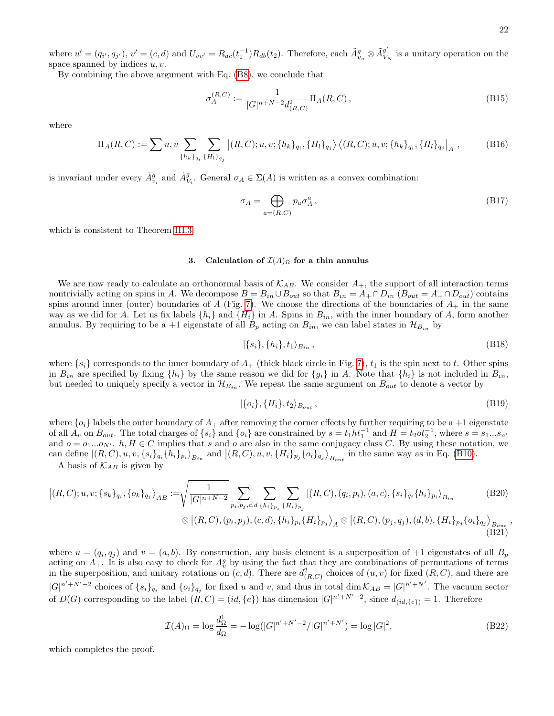where  $u' = (q_{i'}, q_{j'}), v' = (c, d)$  and  $U_{vv'} = R_{ac}(t_1^{-1})R_{db}(t_2)$ . Therefore, each  $\tilde{A}_{v_n}^g \otimes \tilde{A}_{V}^{g'}$  $\frac{g}{V_N}$  is a unitary operation on the space spanned by indices  $u, v$ .

By combining the above argument with Eq. [\(B8\)](#page-20-0), we conclude that

$$
\sigma_A^{(R,C)} := \frac{1}{|G|^{n+N-2} d_{(R,C)}^2} \Pi_A(R,C), \tag{B15}
$$

where

$$
\Pi_A(R, C) := \sum u, v \sum_{\{h_k\}_{q_i}} \sum_{\{H_l\}_{q_j}} \left| (R, C); u, v; \{h_k\}_{q_i}, \{H_l\}_{q_j} \right\rangle \left\langle (R, C); u, v; \{h_k\}_{q_i}, \{H_l\}_{q_j} \right|_A,
$$
\n(B16)

is invariant under every  $\tilde{A}_{V_i}^g$  and  $\tilde{A}_{V_i}^g$ . General  $\sigma_A \in \Sigma(A)$  is written as a convex combination:

$$
\sigma_A = \bigoplus_{a=(R,C)} p_a \sigma_A^a, \tag{B17}
$$

which is consistent to Theorem [III.3.](#page-9-0)

# 3. Calculation of  $\mathcal{I}(A)_{\Omega}$  for a thin annulus

We are now ready to calculate an orthonormal basis of  $\mathcal{K}_{AB}$ . We consider  $A_+$ , the support of all interaction terms nontrivially acting on spins in A. We decompose  $B = B_{in} \cup B_{out}$  so that  $B_{in} = A_+ \cap D_{in}$  ( $B_{out} = A_+ \cap D_{out}$ ) contains spins around inner (outer) boundaries of A (Fig. [7\)](#page-22-1). We choose the directions of the boundaries of  $A_+$  in the same way as we did for A. Let us fix labels  $\{h_i\}$  and  $\{H_i\}$  in A. Spins in  $B_{in}$ , with the inner boundary of A, form another annulus. By requiring to be a +1 eigenstate of all  $B_p$  acting on  $B_{in}$ , we can label states in  $\mathcal{H}_{B_{in}}$  by

$$
|\{s_i\}, \{h_i\}, t_1\rangle_{B_{in}},\tag{B18}
$$

where  $\{s_i\}$  corresponds to the inner boundary of  $A_+$  (thick black circle in Fig. [7\)](#page-22-1),  $t_1$  is the spin next to t. Other spins in  $B_{in}$  are specified by fixing  $\{h_i\}$  by the same reason we did for  $\{g_i\}$  in A. Note that  $\{h_i\}$  is not included in  $B_{in}$ , but needed to uniquely specify a vector in  $\mathcal{H}_{Bin}$ . We repeat the same argument on  $B_{out}$  to denote a vector by

$$
|\{o_i\}, \{H_i\}, t_2\rangle_{B_{out}}, \tag{B19}
$$

where  $\{o_i\}$  labels the outer boundary of  $A_+$  after removing the corner effects by further requiring to be a +1 eigenstate of all  $A_v$  on  $B_{out}$ . The total charges of  $\{s_i\}$  and  $\{o_i\}$  are constrained by  $s = t_1 ht_1^{-1}$  and  $H = t_2 o t_2^{-1}$ , where  $s = s_1...s_{n'}$ and  $o = o_1...o_{N'}$ .  $h, H \in C$  implies that s and o are also in the same conjugacy class C. By using these notation, we can define  $|(R, C), u, v, \{s_i\}_{q_i} \{h_i\}_{p_i} \rangle_{B_{in}}$  and  $|(R, C), u, v, \{H_i\}_{p_j} \{o_i\}_{q_j} \rangle_{B_{out}}$  in the same way as in Eq. [\(B10\)](#page-20-1).

A basis of  $\mathcal{K}_{AB}$  is given by

$$
\left| (R, C); u, v; \{s_k\}_{q_i}, \{o_k\}_{q_j} \right\rangle_{AB} := \sqrt{\frac{1}{|G|^{n+N-2}}} \sum_{p_i, p_j, c, d} \sum_{\{h_i\}_{p_i} \{H_i\}_{p_j}} \left| (R, C), (q_i, p_i), (a, c), \{s_i\}_{q_i} \{h_i\}_{p_i} \right\rangle_{B_{in}} \tag{B20}
$$
\n
$$
\otimes \left| (R, C), (p_i, p_j), (c, d), \{h_i\}_{p_i} \{H_i\}_{p_j} \right\rangle_A \otimes \left| (R, C), (p_j, q_j), (d, b), \{H_i\}_{p_j} \{o_i\}_{q_j} \right\rangle_{B_{out}} \tag{B21}
$$

where  $u = (q_i, q_j)$  and  $v = (a, b)$ . By construction, any basis element is a superposition of  $+1$  eigenstates of all  $B_p$ acting on  $A_+$ . It is also easy to check for  $A_v^g$  by using the fact that they are combinations of permutations of terms in the superposition, and unitary rotations on  $(c, d)$ . There are  $d^2_{(R, C)}$  choices of  $(u, v)$  for fixed  $(R, C)$ , and there are  $|G|^{n'+N'-2}$  choices of  $\{s_i\}_{q_i}$  and  $\{o_i\}_{q_j}$  for fixed u and v, and thus in total dim  $\mathcal{K}_{AB} = |G|^{n'+N'}$ . The vacuum sector of  $D(G)$  corresponding to the label  $(R, C) = (id, \{e\})$  has dimension  $|G|^{n'+N'-2}$ , since  $d_{(id, \{e\})} = 1$ . Therefore

$$
\mathcal{I}(A)_{\Omega} = \log \frac{d_{\Omega}^{1}}{d_{\Omega}} = -\log(|G|^{n'+N'-2}/|G|^{n'+N'}) = \log|G|^2,
$$
\n(B22)

which completes the proof.

,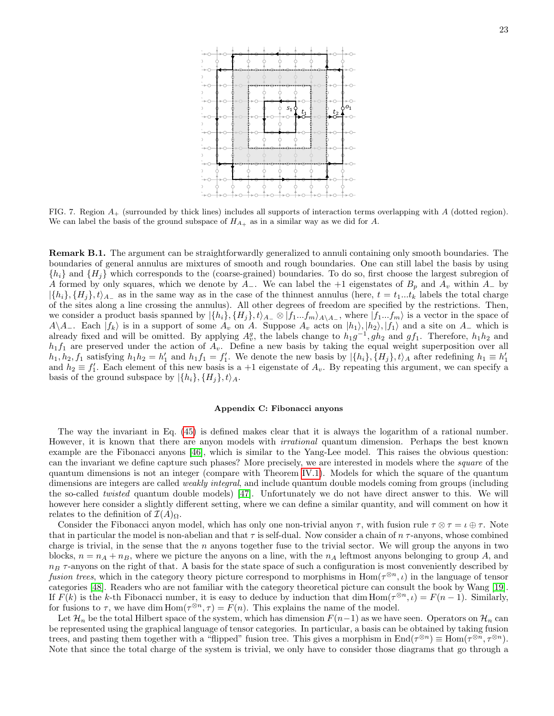

<span id="page-22-1"></span>FIG. 7. Region  $A_+$  (surrounded by thick lines) includes all supports of interaction terms overlapping with A (dotted region). We can label the basis of the ground subspace of  $H_{A_+}$  as in a similar way as we did for A.

Remark B.1. The argument can be straightforwardly generalized to annuli containing only smooth boundaries. The boundaries of general annulus are mixtures of smooth and rough boundaries. One can still label the basis by using  $\{h_i\}$  and  $\{H_i\}$  which corresponds to the (coarse-grained) boundaries. To do so, first choose the largest subregion of A formed by only squares, which we denote by  $A_-\$ . We can label the +1 eigenstates of  $B_p$  and  $A_v$  within  $A_-\$  by  $|\{h_i\}, \{H_i\}, t\rangle$ <sub>A</sub> as in the same way as in the case of the thinnest annulus (here,  $t = t_1...t_k$  labels the total charge of the sites along a line crossing the annulus). All other degrees of freedom are specified by the restrictions. Then, we consider a product basis spanned by  $|\{h_i\}, \{H_j\}, t\rangle_{A_-} \otimes |f_1...f_m\rangle_{A\setminus A_-}$ , where  $|f_1...f_m\rangle$  is a vector in the space of A\A\_. Each  $|f_k\rangle$  is in a support of some  $A_v$  on A. Suppose  $A_v$  acts on  $|h_1\rangle, |h_2\rangle, |f_1\rangle$  and a site on A\_ which is already fixed and will be omitted. By applying  $A_v^g$ , the labels change to  $h_1g^{-1}$ ,  $gh_2$  and  $gf_1$ . Therefore,  $h_1h_2$  and  $h_1f_1$  are preserved under the action of  $A_v$ . Define a new basis by taking the equal weight superposition over all  $h_1, h_2, f_1$  satisfying  $h_1 h_2 = h'_1$  and  $h_1 f_1 = f'_1$ . We denote the new basis by  $|\{h_i\}, \{H_j\}, t\rangle_A$  after redefining  $h_1 \equiv h'_1$ and  $h_2 \equiv f'_1$ . Each element of this new basis is a +1 eigenstate of  $A_v$ . By repeating this argument, we can specify a basis of the ground subspace by  $|\{h_i\}, \{H_j\}, t\rangle_A$ .

#### <span id="page-22-0"></span>Appendix C: Fibonacci anyons

The way the invariant in Eq. [\(45\)](#page-10-4) is defined makes clear that it is always the logarithm of a rational number. However, it is known that there are anyon models with irrational quantum dimension. Perhaps the best known example are the Fibonacci anyons [\[46\]](#page-26-8), which is similar to the Yang-Lee model. This raises the obvious question: can the invariant we define capture such phases? More precisely, we are interested in models where the square of the quantum dimensions is not an integer (compare with Theorem [IV.1\)](#page-13-1). Models for which the square of the quantum dimensions are integers are called *weakly integral*, and include quantum double models coming from groups (including the so-called twisted quantum double models) [\[47\]](#page-26-9). Unfortunately we do not have direct answer to this. We will however here consider a slightly different setting, where we can define a similar quantity, and will comment on how it relates to the definition of  $\mathcal{I}(A)_{\Omega}$ .

Consider the Fibonacci anyon model, which has only one non-trivial anyon  $\tau$ , with fusion rule  $\tau \otimes \tau = \iota \oplus \tau$ . Note that in particular the model is non-abelian and that  $\tau$  is self-dual. Now consider a chain of  $n \tau$ -anyons, whose combined charge is trivial, in the sense that the  $n$  anyons together fuse to the trivial sector. We will group the anyons in two blocks,  $n = n_A + n_B$ , where we picture the anyons on a line, with the  $n_A$  leftmost anyons belonging to group A, and  $n_B$   $\tau$ -anyons on the right of that. A basis for the state space of such a configuration is most conveniently described by fusion trees, which in the category theory picture correspond to morphisms in  $\text{Hom}(\tau^{\otimes n}, \iota)$  in the language of tensor categories [\[48\]](#page-26-10). Readers who are not familiar with the category theoretical picture can consult the book by Wang [\[19\]](#page-25-14). If  $F(k)$  is the k-th Fibonacci number, it is easy to deduce by induction that dim  $\text{Hom}(\tau^{\otimes n}, \iota) = F(n-1)$ . Similarly, for fusions to  $\tau$ , we have dim  $\text{Hom}(\tau^{\otimes n}, \tau) = F(n)$ . This explains the name of the model.

Let  $\mathcal{H}_n$  be the total Hilbert space of the system, which has dimension  $F(n-1)$  as we have seen. Operators on  $\mathcal{H}_n$  can be represented using the graphical language of tensor categories. In particular, a basis can be obtained by taking fusion trees, and pasting them together with a "flipped" fusion tree. This gives a morphism in  $\text{End}(\tau^{\otimes n}) \equiv \text{Hom}(\tau^{\otimes n}, \tau^{\otimes n})$ . Note that since the total charge of the system is trivial, we only have to consider those diagrams that go through a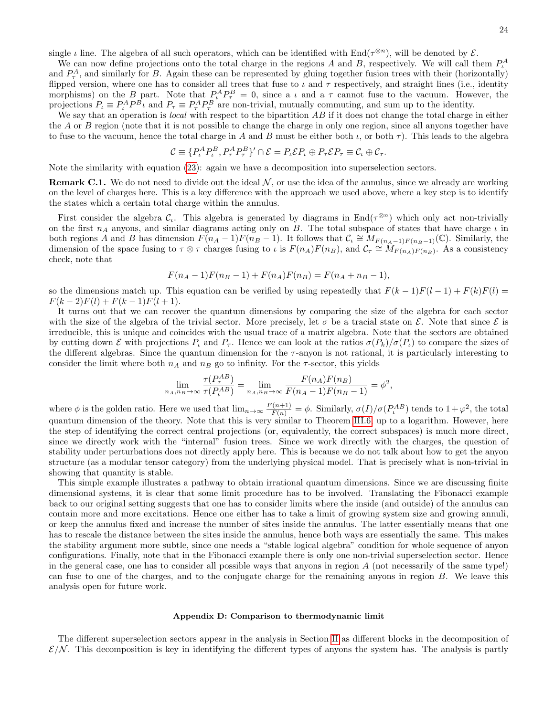single  $\iota$  line. The algebra of all such operators, which can be identified with  $\text{End}(\tau^{\otimes n})$ , will be denoted by  $\mathcal{E}$ .

We can now define projections onto the total charge in the regions A and B, respectively. We will call them  $P_t^A$ and  $P_{\tau}^{A}$ , and similarly for B. Again these can be represented by gluing together fusion trees with their (horizontally) flipped version, where one has to consider all trees that fuse to  $\iota$  and  $\tau$  respectively, and straight lines (i.e., identity morphisms) on the B part. Note that  $P_1^A P_7^B = 0$ , since a  $\iota$  and a  $\tau$  cannot fuse to the vacuum. However, the projections  $P_t \equiv P_t^A P_t^B$  and  $P_\tau \equiv P_\tau^A P_\tau^B$  are non-trivial, mutually commuting, and sum up to the identity.

We say that an operation is *local* with respect to the bipartition AB if it does not change the total charge in either the A or B region (note that it is not possible to change the charge in only one region, since all anyons together have to fuse to the vacuum, hence the total charge in A and B must be either both  $\iota$ , or both  $\tau$ ). This leads to the algebra

$$
\mathcal{C} \equiv \{P_{\iota}^{A}P_{\iota}^{B}, P_{\tau}^{A}P_{\tau}^{B}\}' \cap \mathcal{E} = P_{\iota} \mathcal{E} P_{\iota} \oplus P_{\tau} \mathcal{E} P_{\tau} \equiv \mathcal{C}_{\iota} \oplus \mathcal{C}_{\tau}.
$$

Note the similarity with equation [\(23\)](#page-6-4): again we have a decomposition into superselection sectors.

**Remark C.1.** We do not need to divide out the ideal  $N$ , or use the idea of the annulus, since we already are working on the level of charges here. This is a key difference with the approach we used above, where a key step is to identify the states which a certain total charge within the annulus.

First consider the algebra  $\mathcal{C}_l$ . This algebra is generated by diagrams in End $(\tau^{\otimes n})$  which only act non-trivially on the first  $n_A$  anyons, and similar diagrams acting only on B. The total subspace of states that have charge  $\iota$  in both regions A and B has dimension  $F(n_A - 1)F(n_B - 1)$ . It follows that  $C_\iota \cong M_{F(n_A-1)F(n_B-1)}(\mathbb{C})$ . Similarly, the dimension of the space fusing to  $\tau \otimes \tau$  charges fusing to  $\iota$  is  $F(n_A)F(n_B)$ , and  $C_{\tau} \cong M_{F(n_A)F(n_B)}$ . As a consistency check, note that

$$
F(n_A - 1)F(n_B - 1) + F(n_A)F(n_B) = F(n_A + n_B - 1),
$$

so the dimensions match up. This equation can be verified by using repeatedly that  $F(k-1)F(l-1) + F(k)F(l) =$  $F(k-2)F(l) + F(k-1)F(l+1).$ 

It turns out that we can recover the quantum dimensions by comparing the size of the algebra for each sector with the size of the algebra of the trivial sector. More precisely, let  $\sigma$  be a tracial state on  $\mathcal{E}$ . Note that since  $\mathcal{E}$  is irreducible, this is unique and coincides with the usual trace of a matrix algebra. Note that the sectors are obtained by cutting down  $\mathcal E$  with projections  $P_t$  and  $P_{\tau}$ . Hence we can look at the ratios  $\sigma(P_k)/\sigma(P_t)$  to compare the sizes of the different algebras. Since the quantum dimension for the  $\tau$ -anyon is not rational, it is particularly interesting to consider the limit where both  $n_A$  and  $n_B$  go to infinity. For the  $\tau$ -sector, this yields

$$
\lim_{n_A, n_B \to \infty} \frac{\tau(P_{\tau}^{AB})}{\tau(P_{\iota}^{AB})} = \lim_{n_A, n_B \to \infty} \frac{F(n_A)F(n_B)}{F(n_A - 1)F(n_B - 1)} = \phi^2,
$$

AB

where  $\phi$  is the golden ratio. Here we used that  $\lim_{n\to\infty} \frac{F(n+1)}{F(n)} = \phi$ . Similarly,  $\sigma(I)/\sigma(P_i^{AB})$  tends to  $1+\varphi^2$ , the total quantum dimension of the theory. Note that this is very similar to Theorem [III.6,](#page-10-3) up to a logarithm. However, here the step of identifying the correct central projections (or, equivalently, the correct subspaces) is much more direct, since we directly work with the "internal" fusion trees. Since we work directly with the charges, the question of stability under perturbations does not directly apply here. This is because we do not talk about how to get the anyon structure (as a modular tensor category) from the underlying physical model. That is precisely what is non-trivial in showing that quantity is stable.

This simple example illustrates a pathway to obtain irrational quantum dimensions. Since we are discussing finite dimensional systems, it is clear that some limit procedure has to be involved. Translating the Fibonacci example back to our original setting suggests that one has to consider limits where the inside (and outside) of the annulus can contain more and more excitations. Hence one either has to take a limit of growing system size and growing annuli, or keep the annulus fixed and increase the number of sites inside the annulus. The latter essentially means that one has to rescale the distance between the sites inside the annulus, hence both ways are essentially the same. This makes the stability argument more subtle, since one needs a "stable logical algebra" condition for whole sequence of anyon configurations. Finally, note that in the Fibonacci example there is only one non-trivial superselection sector. Hence in the general case, one has to consider all possible ways that anyons in region  $A$  (not necessarily of the same type!) can fuse to one of the charges, and to the conjugate charge for the remaining anyons in region B. We leave this analysis open for future work.

### <span id="page-23-0"></span>Appendix D: Comparison to thermodynamic limit

The different superselection sectors appear in the analysis in Section [II](#page-1-0) as different blocks in the decomposition of  $\mathcal{E}/\mathcal{N}$ . This decomposition is key in identifying the different types of anyons the system has. The analysis is partly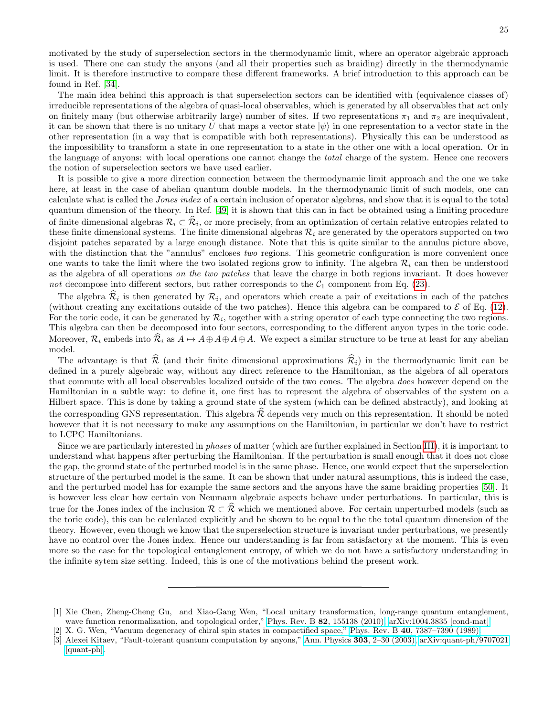motivated by the study of superselection sectors in the thermodynamic limit, where an operator algebraic approach is used. There one can study the anyons (and all their properties such as braiding) directly in the thermodynamic limit. It is therefore instructive to compare these different frameworks. A brief introduction to this approach can be found in Ref. [\[34\]](#page-25-29).

The main idea behind this approach is that superselection sectors can be identified with (equivalence classes of) irreducible representations of the algebra of quasi-local observables, which is generated by all observables that act only on finitely many (but otherwise arbitrarily large) number of sites. If two representations  $\pi_1$  and  $\pi_2$  are inequivalent, it can be shown that there is no unitary U that maps a vector state  $|\psi\rangle$  in one representation to a vector state in the other representation (in a way that is compatible with both representations). Physically this can be understood as the impossibility to transform a state in one representation to a state in the other one with a local operation. Or in the language of anyons: with local operations one cannot change the total charge of the system. Hence one recovers the notion of superselection sectors we have used earlier.

It is possible to give a more direction connection between the thermodynamic limit approach and the one we take here, at least in the case of abelian quantum double models. In the thermodynamic limit of such models, one can calculate what is called the Jones index of a certain inclusion of operator algebras, and show that it is equal to the total quantum dimension of the theory. In Ref. [\[49\]](#page-26-11) it is shown that this can in fact be obtained using a limiting procedure of finite dimensional algebras  $\mathcal{R}_i \subset \mathcal{R}_i$ , or more precisely, from an optimization of certain relative entropies related to these finite dimensional systems. The finite dimensional algebras  $\mathcal{R}_i$  are generated by the operators supported on two disjoint patches separated by a large enough distance. Note that this is quite similar to the annulus picture above, with the distinction that the "annulus" encloses two regions. This geometric configuration is more convenient once one wants to take the limit where the two isolated regions grow to infinity. The algebra  $\mathcal{R}_i$  can then be understood as the algebra of all operations on the two patches that leave the charge in both regions invariant. It does however not decompose into different sectors, but rather corresponds to the  $C_1$  component from Eq. [\(23\)](#page-6-4).

The algebra  $\mathcal{R}_i$  is then generated by  $\mathcal{R}_i$ , and operators which create a pair of excitations in each of the patches (without creating any excitations outside of the two patches). Hence this algebra can be compared to  $\mathcal E$  of Eq. [\(12\)](#page-4-0). For the toric code, it can be generated by  $\mathcal{R}_i$ , together with a string operator of each type connecting the two regions. This algebra can then be decomposed into four sectors, corresponding to the different anyon types in the toric code. Moreover,  $\mathcal{R}_i$  embeds into  $\mathcal{R}_i$  as  $A \mapsto A \oplus A \oplus A \oplus A$ . We expect a similar structure to be true at least for any abelian model.

The advantage is that  $\hat{\mathcal{R}}$  (and their finite dimensional approximations  $\hat{\mathcal{R}}_i$ ) in the thermodynamic limit can be defined in a purely algebraic way, without any direct reference to the Hamiltonian, as the algebra of all operators that commute with all local observables localized outside of the two cones. The algebra does however depend on the Hamiltonian in a subtle way: to define it, one first has to represent the algebra of observables of the system on a Hilbert space. This is done by taking a ground state of the system (which can be defined abstractly), and looking at the corresponding GNS representation. This algebra  $\hat{\mathcal{R}}$  depends very much on this representation. It should be noted however that it is not necessary to make any assumptions on the Hamiltonian, in particular we don't have to restrict to LCPC Hamiltonians.

Since we are particularly interested in phases of matter (which are further explained in Section [III\)](#page-7-0), it is important to understand what happens after perturbing the Hamiltonian. If the perturbation is small enough that it does not close the gap, the ground state of the perturbed model is in the same phase. Hence, one would expect that the superselection structure of the perturbed model is the same. It can be shown that under natural assumptions, this is indeed the case, and the perturbed model has for example the same sectors and the anyons have the same braiding properties [\[50\]](#page-26-12). It is however less clear how certain von Neumann algebraic aspects behave under perturbations. In particular, this is true for the Jones index of the inclusion  $\mathcal{R} \subset \widehat{\mathcal{R}}$  which we mentioned above. For certain unperturbed models (such as the toric code), this can be calculated explicitly and be shown to be equal to the the total quantum dimension of the theory. However, even though we know that the superselection structure is invariant under perturbations, we presently have no control over the Jones index. Hence our understanding is far from satisfactory at the moment. This is even more so the case for the topological entanglement entropy, of which we do not have a satisfactory understanding in the infinite sytem size setting. Indeed, this is one of the motivations behind the present work.

<span id="page-24-0"></span><sup>[1]</sup> Xie Chen, Zheng-Cheng Gu, and Xiao-Gang Wen, "Local unitary transformation, long-range quantum entanglement, wave function renormalization, and topological order," Phys. Rev. B 82[, 155138 \(2010\),](http://dx.doi.org/ 10.1103/PhysRevB.82.155138) [arXiv:1004.3835 \[cond-mat\].](http://arxiv.org/abs/1004.3835)

<span id="page-24-1"></span><sup>[2]</sup> X. G. Wen, "Vacuum degeneracy of chiral spin states in compactified space," Phys. Rev. B 40[, 7387–7390 \(1989\).](http://dx.doi.org/ 10.1103/PhysRevB.40.7387)

<span id="page-24-2"></span><sup>[3]</sup> Alexei Kitaev, "Fault-tolerant quantum computation by anyons," Ann. Physics 303[, 2–30 \(2003\),](http://dx.doi.org/ 10.1016/S0003-4916(02)00018-0) [arXiv:quant-ph/9707021](http://arxiv.org/abs/quant-ph/9707021) [\[quant-ph\].](http://arxiv.org/abs/quant-ph/9707021)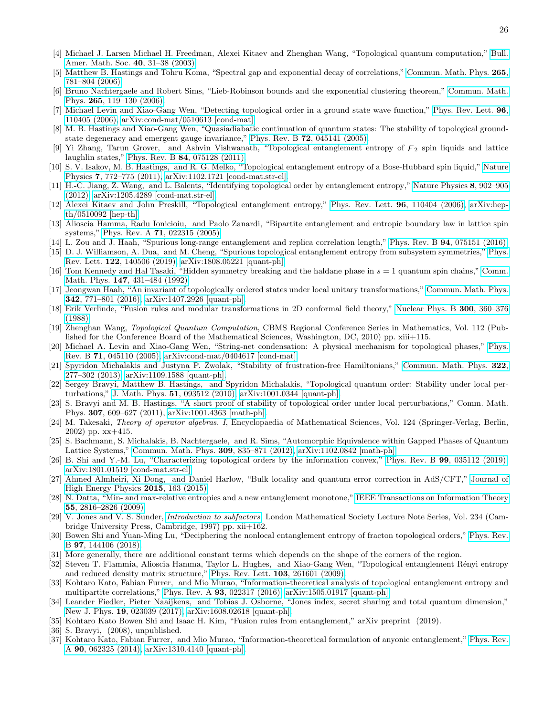- <span id="page-25-0"></span>[4] Michael J. Larsen Michael H. Freedman, Alexei Kitaev and Zhenghan Wang, "Topological quantum computation," [Bull.](http://dx.doi.org/ https://doi.org/10.1090/S0273-0979-02-00964-3) [Amer. Math. Soc.](http://dx.doi.org/ https://doi.org/10.1090/S0273-0979-02-00964-3) 40, 31–38 (2003).
- <span id="page-25-1"></span>[5] Matthew B. Hastings and Tohru Koma, "Spectral gap and exponential decay of correlations," [Commun. Math. Phys.](http://dx.doi.org/ 10.1007/s00220-006-0030-4) 265, [781–804 \(2006\).](http://dx.doi.org/ 10.1007/s00220-006-0030-4)
- <span id="page-25-2"></span>[6] Bruno Nachtergaele and Robert Sims, "Lieb-Robinson bounds and the exponential clustering theorem," [Commun. Math.](http://dx.doi.org/ 10.1007/s00220-006-1556-1) Phys. 265[, 119–130 \(2006\).](http://dx.doi.org/ 10.1007/s00220-006-1556-1)
- <span id="page-25-3"></span>[7] Michael Levin and Xiao-Gang Wen, "Detecting topological order in a ground state wave function," [Phys. Rev. Lett.](http://dx.doi.org/ 10.1103/PhysRevLett.96.110405) 96, [110405 \(2006\),](http://dx.doi.org/ 10.1103/PhysRevLett.96.110405) [arXiv:cond-mat/0510613 \[cond-mat\].](http://arxiv.org/abs/cond-mat/0510613)
- <span id="page-25-4"></span>[8] M. B. Hastings and Xiao-Gang Wen, "Quasiadiabatic continuation of quantum states: The stability of topological groundstate degeneracy and emergent gauge invariance," Phys. Rev. B 72[, 045141 \(2005\).](http://dx.doi.org/ 10.1103/PhysRevB.72.045141)
- <span id="page-25-5"></span>Yi Zhang, Tarun Grover, and Ashvin Vishwanath, "Topological entanglement entropy of  $F_2$  spin liquids and lattice laughlin states," Phys. Rev. B 84[, 075128 \(2011\).](http://dx.doi.org/10.1103/PhysRevB.84.075128)
- [10] S. V. Isakov, M. B. Hastings, and R. G. Melko, "Topological entanglement entropy of a Bose-Hubbard spin liquid," [Nature](http://dx.doi.org/ 10.1038/nphys2036) Physics 7[, 772–775 \(2011\),](http://dx.doi.org/ 10.1038/nphys2036) [arXiv:1102.1721 \[cond-mat.str-el\].](http://arxiv.org/abs/1102.1721)
- <span id="page-25-6"></span>[11] H.-C. Jiang, Z. Wang, and L. Balents, "Identifying topological order by entanglement entropy," [Nature Physics](http://dx.doi.org/10.1038/nphys2465) 8, 902–905 [\(2012\),](http://dx.doi.org/10.1038/nphys2465) [arXiv:1205.4289 \[cond-mat.str-el\].](http://arxiv.org/abs/1205.4289)
- <span id="page-25-7"></span>[12] Alexei Kitaev and John Preskill, "Topological entanglement entropy," [Phys. Rev. Lett.](http://dx.doi.org/10.1103/PhysRevLett.96.110404) 96, 110404 (2006), [arXiv:hep](http://arxiv.org/abs/hep-th/0510092)[th/0510092 \[hep-th\].](http://arxiv.org/abs/hep-th/0510092)
- <span id="page-25-8"></span>[13] Alioscia Hamma, Radu Ionicioiu, and Paolo Zanardi, "Bipartite entanglement and entropic boundary law in lattice spin systems," Phys. Rev. A 71[, 022315 \(2005\).](http://dx.doi.org/10.1103/PhysRevA.71.022315)
- <span id="page-25-9"></span>[14] L. Zou and J. Haah, "Spurious long-range entanglement and replica correlation length," Phys. Rev. B 94[, 075151 \(2016\).](http://dx.doi.org/ 10.1103/PhysRevB.94.075151)
- <span id="page-25-10"></span>[15] D. J. Williamson, A. Dua, and M. Cheng, "Spurious topological entanglement entropy from subsystem symmetries," [Phys.](http://dx.doi.org/ 10.1103/PhysRevLett.122.140506) Rev. Lett. 122[, 140506 \(2019\),](http://dx.doi.org/ 10.1103/PhysRevLett.122.140506) [arXiv:1808.05221 \[quant-ph\].](http://arxiv.org/abs/1808.05221)
- <span id="page-25-11"></span>[16] Tom Kennedy and Hal Tasaki, "Hidden symmetry breaking and the haldane phase in  $s = 1$  quantum spin chains," [Comm.](https://projecteuclid.org:443/euclid.cmp/1104250747) Math. Phys. 147[, 431–484 \(1992\).](https://projecteuclid.org:443/euclid.cmp/1104250747)
- <span id="page-25-12"></span>[17] Jeongwan Haah, "An invariant of topologically ordered states under local unitary transformations," [Commun. Math. Phys.](http://dx.doi.org/10.1007/s00220-016-2594-y) 342[, 771–801 \(2016\),](http://dx.doi.org/10.1007/s00220-016-2594-y) [arXiv:1407.2926 \[quant-ph\].](http://arxiv.org/abs/1407.2926)
- <span id="page-25-13"></span>[18] Erik Verlinde, "Fusion rules and modular transformations in 2D conformal field theory," [Nuclear Phys. B](http://dx.doi.org/10.1016/0550-3213(88)90603-7) 300, 360–376 [\(1988\).](http://dx.doi.org/10.1016/0550-3213(88)90603-7)
- <span id="page-25-14"></span>[19] Zhenghan Wang, Topological Quantum Computation, CBMS Regional Conference Series in Mathematics, Vol. 112 (Published for the Conference Board of the Mathematical Sciences, Washington, DC, 2010) pp. xiii+115.
- <span id="page-25-15"></span>[20] Michael A. Levin and Xiao-Gang Wen, "String-net condensation: A physical mechanism for topological phases," [Phys.](http://dx.doi.org/10.1103/PhysRevB.71.045110) Rev. B 71[, 045110 \(2005\),](http://dx.doi.org/10.1103/PhysRevB.71.045110) [arXiv:cond-mat/0404617 \[cond-mat\].](http://arxiv.org/abs/cond-mat/0404617)
- <span id="page-25-16"></span>[21] Spyridon Michalakis and Justyna P. Zwolak, "Stability of frustration-free Hamiltonians," [Commun. Math. Phys.](http://dx.doi.org/10.1007/s00220-013-1762-6) 322, [277–302 \(2013\),](http://dx.doi.org/10.1007/s00220-013-1762-6) [arXiv:1109.1588 \[quant-ph\].](http://arxiv.org/abs/1109.1588)
- <span id="page-25-17"></span>[22] Sergey Bravyi, Matthew B. Hastings, and Spyridon Michalakis, "Topological quantum order: Stability under local perturbations," J. Math. Phys. 51[, 093512 \(2010\),](http://dx.doi.org/ 10.1063/1.3490195) [arXiv:1001.0344 \[quant-ph\].](http://arxiv.org/abs/1001.0344)
- <span id="page-25-18"></span>[23] S. Bravyi and M. B. Hastings, "A short proof of stability of topological order under local perturbations," Comm. Math. Phys. 307, 609–627 (2011), [arXiv:1001.4363 \[math-ph\].](http://arxiv.org/abs/1001.4363)
- <span id="page-25-19"></span>[24] M. Takesaki, Theory of operator algebras. I, Encyclopaedia of Mathematical Sciences, Vol. 124 (Springer-Verlag, Berlin, 2002) pp. xx+415.
- <span id="page-25-20"></span>[25] S. Bachmann, S. Michalakis, B. Nachtergaele, and R. Sims, "Automorphic Equivalence within Gapped Phases of Quantum Lattice Systems," [Commun. Math. Phys.](http://dx.doi.org/10.1007/s00220-011-1380-0) 309, 835–871 (2012), [arXiv:1102.0842 \[math-ph\].](http://arxiv.org/abs/1102.0842)
- <span id="page-25-21"></span>[26] B. Shi and Y.-M. Lu, "Characterizing topological orders by the information convex," Phys. Rev. B 99[, 035112 \(2019\),](http://dx.doi.org/ 10.1103/PhysRevB.99.035112) [arXiv:1801.01519 \[cond-mat.str-el\].](http://arxiv.org/abs/1801.01519)
- <span id="page-25-22"></span>[27] Ahmed Almheiri, Xi Dong, and Daniel Harlow, "Bulk locality and quantum error correction in AdS/CFT," [Journal of](http://dx.doi.org/10.1007/JHEP04(2015)163) [High Energy Physics](http://dx.doi.org/10.1007/JHEP04(2015)163) 2015, 163 (2015).
- <span id="page-25-23"></span>[28] N. Datta, "Min- and max-relative entropies and a new entanglement monotone," [IEEE Transactions on Information Theory](http://dx.doi.org/ 10.1109/TIT.2009.2018325) 55[, 2816–2826 \(2009\).](http://dx.doi.org/ 10.1109/TIT.2009.2018325)
- <span id="page-25-24"></span>[29] V. Jones and V. S. Sunder, [Introduction to subfactors](http://dx.doi.org/10.1017/CBO9780511566219), London Mathematical Society Lecture Note Series, Vol. 234 (Cambridge University Press, Cambridge, 1997) pp. xii+162.
- <span id="page-25-25"></span>[30] Bowen Shi and Yuan-Ming Lu, "Deciphering the nonlocal entanglement entropy of fracton topological orders," [Phys. Rev.](http://dx.doi.org/10.1103/PhysRevB.97.144106) B 97[, 144106 \(2018\).](http://dx.doi.org/10.1103/PhysRevB.97.144106)
- <span id="page-25-27"></span><span id="page-25-26"></span>[31] More generally, there are additional constant terms which depends on the shape of the corners of the region.
- [32] Steven T. Flammia, Alioscia Hamma, Taylor L. Hughes, and Xiao-Gang Wen, "Topological entanglement Rényi entropy and reduced density matrix structure," [Phys. Rev. Lett.](http://dx.doi.org/10.1103/PhysRevLett.103.261601) 103, 261601 (2009).
- <span id="page-25-28"></span>[33] Kohtaro Kato, Fabian Furrer, and Mio Murao, "Information-theoretical analysis of topological entanglement entropy and multipartite correlations," Phys. Rev. A 93[, 022317 \(2016\),](http://dx.doi.org/10.1103/PhysRevA.93.022317) [arXiv:1505.01917 \[quant-ph\].](http://arxiv.org/abs/1505.01917)
- <span id="page-25-29"></span>[34] Leander Fiedler, Pieter Naaijkens, and Tobias J. Osborne, "Jones index, secret sharing and total quantum dimension," New J. Phys. 19[, 023039 \(2017\),](http://dx.doi.org/ 10.1088/1367-2630/aa5c0c) [arXiv:1608.02618 \[quant-ph\].](http://arxiv.org/abs/1608.02618)
- <span id="page-25-30"></span>[35] Kohtaro Kato Bowen Shi and Isaac H. Kim, "Fusion rules from entanglement," arXiv preprint (2019).
- <span id="page-25-31"></span>[36] S. Bravyi, (2008), unpublished.
- <span id="page-25-32"></span>[37] Kohtaro Kato, Fabian Furrer, and Mio Murao, "Information-theoretical formulation of anyonic entanglement," [Phys. Rev.](http://dx.doi.org/ 10.1103/PhysRevA.90.062325) A 90[, 062325 \(2014\),](http://dx.doi.org/ 10.1103/PhysRevA.90.062325) [arXiv:1310.4140 \[quant-ph\].](http://arxiv.org/abs/1310.4140)